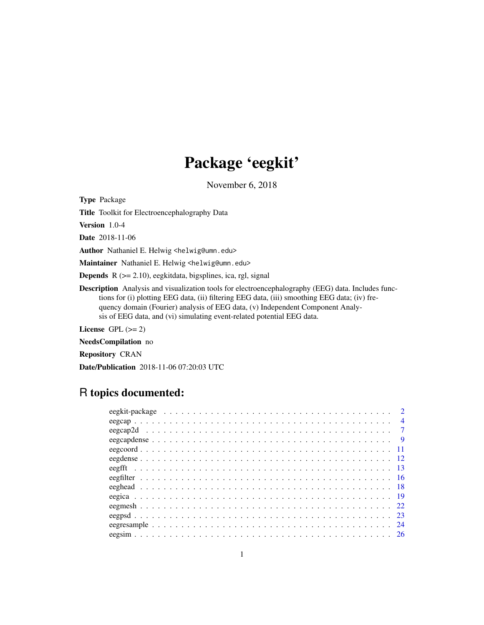# Package 'eegkit'

November 6, 2018

<span id="page-0-0"></span>Type Package

Title Toolkit for Electroencephalography Data

Version 1.0-4

Date 2018-11-06

Author Nathaniel E. Helwig <helwig@umn.edu>

Maintainer Nathaniel E. Helwig <helwig@umn.edu>

Depends R (>= 2.10), eegkitdata, bigsplines, ica, rgl, signal

Description Analysis and visualization tools for electroencephalography (EEG) data. Includes functions for (i) plotting EEG data, (ii) filtering EEG data, (iii) smoothing EEG data; (iv) frequency domain (Fourier) analysis of EEG data, (v) Independent Component Analysis of EEG data, and (vi) simulating event-related potential EEG data.

License GPL  $(>= 2)$ 

NeedsCompilation no

Repository CRAN

Date/Publication 2018-11-06 07:20:03 UTC

# R topics documented:

| $\overline{2}$ |  |
|----------------|--|
| $\overline{4}$ |  |
|                |  |
| $\overline{9}$ |  |
|                |  |
|                |  |
|                |  |
|                |  |
|                |  |
|                |  |
|                |  |
|                |  |
| -24            |  |
|                |  |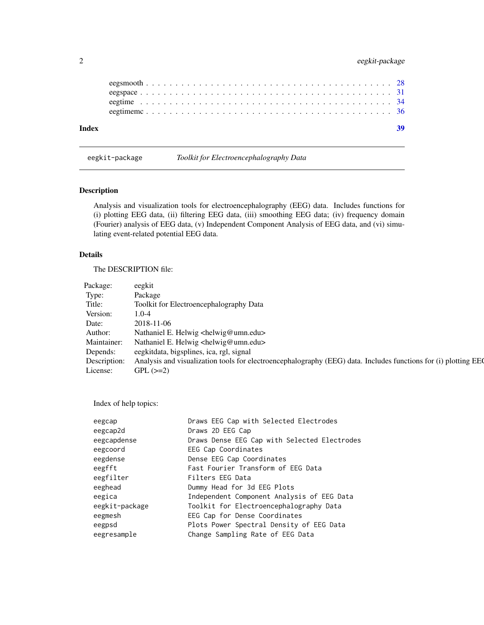# <span id="page-1-0"></span>2 eegkit-package

| Index |  |  |  |  |  |  |  |  |  |  |  |  |  |  |  |  |  |  |  |  |
|-------|--|--|--|--|--|--|--|--|--|--|--|--|--|--|--|--|--|--|--|--|
|       |  |  |  |  |  |  |  |  |  |  |  |  |  |  |  |  |  |  |  |  |
|       |  |  |  |  |  |  |  |  |  |  |  |  |  |  |  |  |  |  |  |  |
|       |  |  |  |  |  |  |  |  |  |  |  |  |  |  |  |  |  |  |  |  |
|       |  |  |  |  |  |  |  |  |  |  |  |  |  |  |  |  |  |  |  |  |
|       |  |  |  |  |  |  |  |  |  |  |  |  |  |  |  |  |  |  |  |  |

eegkit-package *Toolkit for Electroencephalography Data*

# Description

Analysis and visualization tools for electroencephalography (EEG) data. Includes functions for (i) plotting EEG data, (ii) filtering EEG data, (iii) smoothing EEG data; (iv) frequency domain (Fourier) analysis of EEG data, (v) Independent Component Analysis of EEG data, and (vi) simulating event-related potential EEG data.

# Details

The DESCRIPTION file:

| Package: | eegkit                                                                                                                       |
|----------|------------------------------------------------------------------------------------------------------------------------------|
| Type:    | Package                                                                                                                      |
| Title:   | Toolkit for Electroencephalography Data                                                                                      |
| Version: | $1.0 - 4$                                                                                                                    |
| Date:    | 2018-11-06                                                                                                                   |
| Author:  | Nathaniel E. Helwig <helwig@umn.edu></helwig@umn.edu>                                                                        |
|          | Maintainer: Nathaniel E. Helwig <helwig@umn.edu></helwig@umn.edu>                                                            |
| Depends: | eegkitdata, bigsplines, ica, rgl, signal                                                                                     |
|          | Description: Analysis and visualization tools for electroencephalography (EEG) data. Includes functions for (i) plotting EEC |
| License: | $GPL$ ( $>=2$ )                                                                                                              |

Index of help topics:

| eegcap         | Draws EEG Cap with Selected Electrodes       |
|----------------|----------------------------------------------|
| eegcap2d       | Draws 2D EEG Cap                             |
| eegcapdense    | Draws Dense EEG Cap with Selected Electrodes |
| eegcoord       | EEG Cap Coordinates                          |
| eegdense       | Dense EEG Cap Coordinates                    |
| eegfft         | Fast Fourier Transform of EEG Data           |
| eegfilter      | Filters EEG Data                             |
| eeghead        | Dummy Head for 3d EEG Plots                  |
| eegica         | Independent Component Analysis of EEG Data   |
| eegkit-package | Toolkit for Electroencephalography Data      |
| eegmesh        | EEG Cap for Dense Coordinates                |
| eegpsd         | Plots Power Spectral Density of EEG Data     |
| eegresample    | Change Sampling Rate of EEG Data             |
|                |                                              |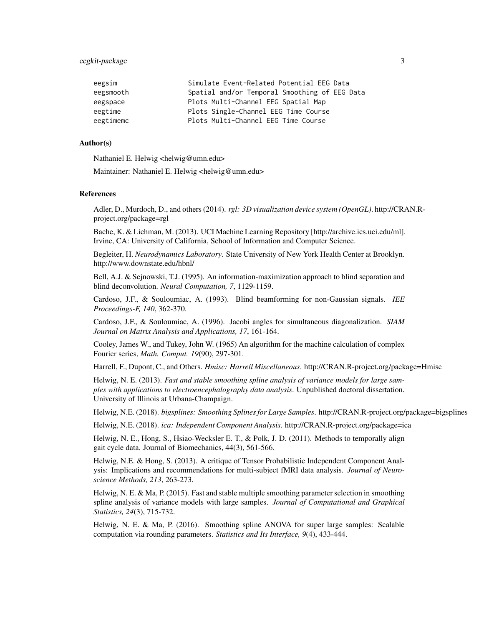#### eegkit-package 3

| Simulate Event-Related Potential EEG Data     |
|-----------------------------------------------|
| Spatial and/or Temporal Smoothing of EEG Data |
| Plots Multi-Channel EEG Spatial Map           |
| Plots Single-Channel EEG Time Course          |
| Plots Multi-Channel EEG Time Course           |
|                                               |

#### Author(s)

Nathaniel E. Helwig <helwig@umn.edu>

Maintainer: Nathaniel E. Helwig <helwig@umn.edu>

#### References

Adler, D., Murdoch, D., and others (2014). *rgl: 3D visualization device system (OpenGL)*. http://CRAN.Rproject.org/package=rgl

Bache, K. & Lichman, M. (2013). UCI Machine Learning Repository [http://archive.ics.uci.edu/ml]. Irvine, CA: University of California, School of Information and Computer Science.

Begleiter, H. *Neurodynamics Laboratory*. State University of New York Health Center at Brooklyn. http://www.downstate.edu/hbnl/

Bell, A.J. & Sejnowski, T.J. (1995). An information-maximization approach to blind separation and blind deconvolution. *Neural Computation, 7*, 1129-1159.

Cardoso, J.F., & Souloumiac, A. (1993). Blind beamforming for non-Gaussian signals. *IEE Proceedings-F, 140*, 362-370.

Cardoso, J.F., & Souloumiac, A. (1996). Jacobi angles for simultaneous diagonalization. *SIAM Journal on Matrix Analysis and Applications, 17*, 161-164.

Cooley, James W., and Tukey, John W. (1965) An algorithm for the machine calculation of complex Fourier series, *Math. Comput. 19*(90), 297-301.

Harrell, F., Dupont, C., and Others. *Hmisc: Harrell Miscellaneous*. http://CRAN.R-project.org/package=Hmisc

Helwig, N. E. (2013). *Fast and stable smoothing spline analysis of variance models for large samples with applications to electroencephalography data analysis*. Unpublished doctoral dissertation. University of Illinois at Urbana-Champaign.

Helwig, N.E. (2018). *bigsplines: Smoothing Splines for Large Samples*. http://CRAN.R-project.org/package=bigsplines

Helwig, N.E. (2018). *ica: Independent Component Analysis*. http://CRAN.R-project.org/package=ica

Helwig, N. E., Hong, S., Hsiao-Wecksler E. T., & Polk, J. D. (2011). Methods to temporally align gait cycle data. Journal of Biomechanics, 44(3), 561-566.

Helwig, N.E. & Hong, S. (2013). A critique of Tensor Probabilistic Independent Component Analysis: Implications and recommendations for multi-subject fMRI data analysis. *Journal of Neuroscience Methods, 213*, 263-273.

Helwig, N. E. & Ma, P. (2015). Fast and stable multiple smoothing parameter selection in smoothing spline analysis of variance models with large samples. *Journal of Computational and Graphical Statistics, 24*(3), 715-732.

Helwig, N. E. & Ma, P. (2016). Smoothing spline ANOVA for super large samples: Scalable computation via rounding parameters. *Statistics and Its Interface, 9*(4), 433-444.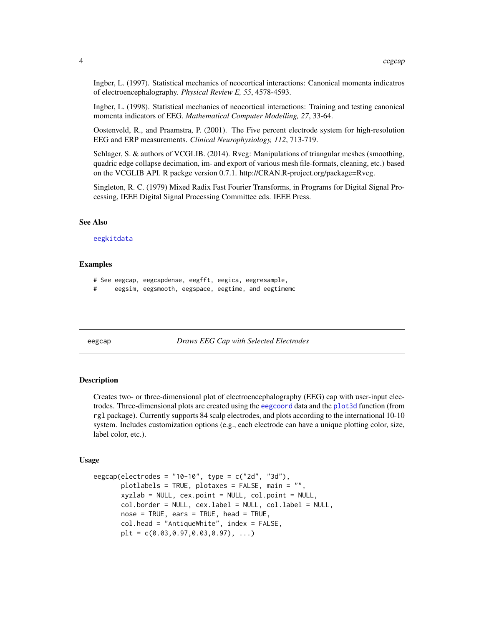<span id="page-3-0"></span>Ingber, L. (1997). Statistical mechanics of neocortical interactions: Canonical momenta indicatros of electroencephalography. *Physical Review E, 55*, 4578-4593.

Ingber, L. (1998). Statistical mechanics of neocortical interactions: Training and testing canonical momenta indicators of EEG. *Mathematical Computer Modelling, 27*, 33-64.

Oostenveld, R., and Praamstra, P. (2001). The Five percent electrode system for high-resolution EEG and ERP measurements. *Clinical Neurophysiology, 112*, 713-719.

Schlager, S. & authors of VCGLIB. (2014). Rvcg: Manipulations of triangular meshes (smoothing, quadric edge collapse decimation, im- and export of various mesh file-formats, cleaning, etc.) based on the VCGLIB API. R packge version 0.7.1. http://CRAN.R-project.org/package=Rvcg.

Singleton, R. C. (1979) Mixed Radix Fast Fourier Transforms, in Programs for Digital Signal Processing, IEEE Digital Signal Processing Committee eds. IEEE Press.

#### See Also

[eegkitdata](#page-0-0)

#### Examples

# See eegcap, eegcapdense, eegfft, eegica, eegresample, # eegsim, eegsmooth, eegspace, eegtime, and eegtimemc

<span id="page-3-1"></span>eegcap *Draws EEG Cap with Selected Electrodes*

#### Description

Creates two- or three-dimensional plot of electroencephalography (EEG) cap with user-input electrodes. Three-dimensional plots are created using the [eegcoord](#page-10-1) data and the [plot3d](#page-0-0) function (from rgl package). Currently supports 84 scalp electrodes, and plots according to the international 10-10 system. Includes customization options (e.g., each electrode can have a unique plotting color, size, label color, etc.).

#### Usage

```
eegcap(electrodes = "10-10", type = c("2d", "3d"),
      plotlabels = TRUE, plotaxes = FALSE, main = "",
      xyzlab = NULL, cex.point = NULL, col.point = NULL,
      col.border = NULL, cex.label = NULL, col.label = NULL,
       nose = TRUE, ears = TRUE, head = TRUE,
      col.head = "AntiqueWhite", index = FALSE,
      plt = c(0.03, 0.97, 0.03, 0.97), ...
```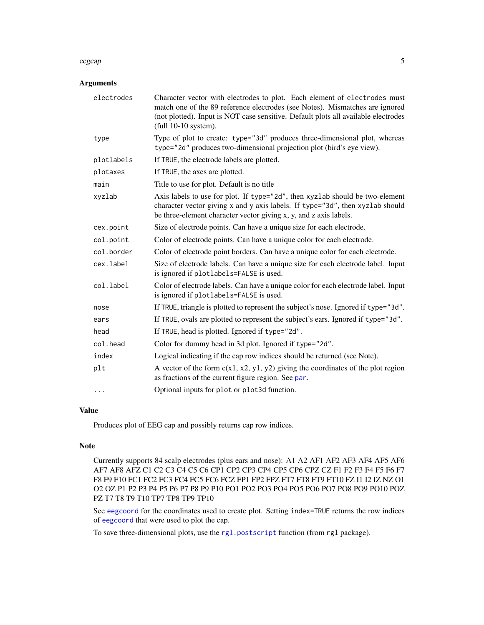#### <span id="page-4-0"></span>eegcap 5

# Arguments

| electrodes | Character vector with electrodes to plot. Each element of electrodes must<br>match one of the 89 reference electrodes (see Notes). Mismatches are ignored<br>(not plotted). Input is NOT case sensitive. Default plots all available electrodes<br>full 10-10 system). |
|------------|------------------------------------------------------------------------------------------------------------------------------------------------------------------------------------------------------------------------------------------------------------------------|
| type       | Type of plot to create: type="3d" produces three-dimensional plot, whereas<br>type="2d" produces two-dimensional projection plot (bird's eye view).                                                                                                                    |
| plotlabels | If TRUE, the electrode labels are plotted.                                                                                                                                                                                                                             |
| plotaxes   | If TRUE, the axes are plotted.                                                                                                                                                                                                                                         |
| main       | Title to use for plot. Default is no title                                                                                                                                                                                                                             |
| xyzlab     | Axis labels to use for plot. If type="2d", then xyzlab should be two-element<br>character vector giving x and y axis labels. If type="3d", then xyzlab should<br>be three-element character vector giving x, y, and z axis labels.                                     |
| cex.point  | Size of electrode points. Can have a unique size for each electrode.                                                                                                                                                                                                   |
| col.point  | Color of electrode points. Can have a unique color for each electrode.                                                                                                                                                                                                 |
| col.border | Color of electrode point borders. Can have a unique color for each electrode.                                                                                                                                                                                          |
| cex.label  | Size of electrode labels. Can have a unique size for each electrode label. Input<br>is ignored if plotlabels=FALSE is used.                                                                                                                                            |
| col.label  | Color of electrode labels. Can have a unique color for each electrode label. Input<br>is ignored if plotlabels=FALSE is used.                                                                                                                                          |
| nose       | If TRUE, triangle is plotted to represent the subject's nose. Ignored if type="3d".                                                                                                                                                                                    |
| ears       | If TRUE, ovals are plotted to represent the subject's ears. Ignored if type="3d".                                                                                                                                                                                      |
| head       | If TRUE, head is plotted. Ignored if type="2d".                                                                                                                                                                                                                        |
| col.head   | Color for dummy head in 3d plot. Ignored if type="2d".                                                                                                                                                                                                                 |
| index      | Logical indicating if the cap row indices should be returned (see Note).                                                                                                                                                                                               |
| plt        | A vector of the form $c(x1, x2, y1, y2)$ giving the coordinates of the plot region<br>as fractions of the current figure region. See par.                                                                                                                              |
| $\cdots$   | Optional inputs for plot or plot 3d function.                                                                                                                                                                                                                          |

#### Value

Produces plot of EEG cap and possibly returns cap row indices.

#### Note

Currently supports 84 scalp electrodes (plus ears and nose): A1 A2 AF1 AF2 AF3 AF4 AF5 AF6 AF7 AF8 AFZ C1 C2 C3 C4 C5 C6 CP1 CP2 CP3 CP4 CP5 CP6 CPZ CZ F1 F2 F3 F4 F5 F6 F7 F8 F9 F10 FC1 FC2 FC3 FC4 FC5 FC6 FCZ FP1 FP2 FPZ FT7 FT8 FT9 FT10 FZ I1 I2 IZ NZ O1 O2 OZ P1 P2 P3 P4 P5 P6 P7 P8 P9 P10 PO1 PO2 PO3 PO4 PO5 PO6 PO7 PO8 PO9 PO10 POZ PZ T7 T8 T9 T10 TP7 TP8 TP9 TP10

See [eegcoord](#page-10-1) for the coordinates used to create plot. Setting index=TRUE returns the row indices of [eegcoord](#page-10-1) that were used to plot the cap.

To save three-dimensional plots, use the [rgl.postscript](#page-0-0) function (from rgl package).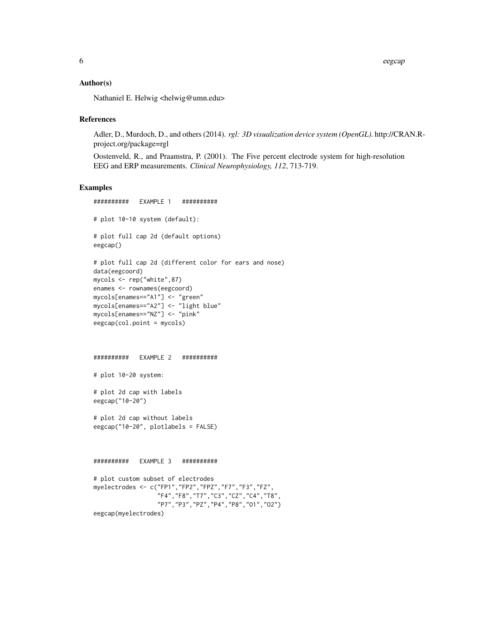6 eegcap ah sida iyo saabada ah sida iyo saabada iyo saabada iyo saabada iyo saabada iyo saabada iyo saabada iyo saabada iyo saabada iyo saabada iyo saabada iyo saabada iyo saabada iyo saabada iyo saabada iyo saabada iyo s

#### Author(s)

Nathaniel E. Helwig <helwig@umn.edu>

#### References

Adler, D., Murdoch, D., and others (2014). *rgl: 3D visualization device system (OpenGL)*. http://CRAN.Rproject.org/package=rgl

Oostenveld, R., and Praamstra, P. (2001). The Five percent electrode system for high-resolution EEG and ERP measurements. *Clinical Neurophysiology, 112*, 713-719.

```
########## EXAMPLE 1 ##########
# plot 10-10 system (default):
# plot full cap 2d (default options)
eegcap()
# plot full cap 2d (different color for ears and nose)
data(eegcoord)
mycols <- rep("white",87)
enames <- rownames(eegcoord)
mycols[enames=="A1"] <- "green"
mycols[enames=="A2"] <- "light blue"
mycols[enames=="NZ"] <- "pink"
eegcap(col.point = mycols)
########## EXAMPLE 2 ##########
# plot 10-20 system:
# plot 2d cap with labels
eegcap("10-20")
# plot 2d cap without labels
eegcap("10-20", plotlabels = FALSE)
########## EXAMPLE 3 ##########
# plot custom subset of electrodes
myelectrodes <- c("FP1","FP2","FPZ","F7","F3","FZ",
                  "F4","F8","T7","C3","CZ","C4","T8",
                  "P7","P3","PZ","P4","P8","O1","O2")
eegcap(myelectrodes)
```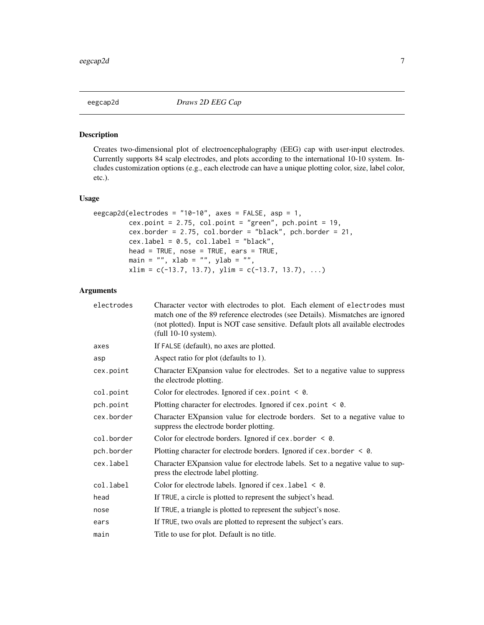<span id="page-6-0"></span>

# Description

Creates two-dimensional plot of electroencephalography (EEG) cap with user-input electrodes. Currently supports 84 scalp electrodes, and plots according to the international 10-10 system. Includes customization options (e.g., each electrode can have a unique plotting color, size, label color, etc.).

#### Usage

```
eegcap2d(electrodes = "10-10", axes = FALSE, asp = 1,
         cex.point = 2.75, col.point = "green", pch.point = 19,
         cex.border = 2.75, col.border = "black", pch.border = 21,
         cex.label = 0.5, col.label = "black",head = TRUE, nose = TRUE, ears = TRUE,
        main = "", xlab = "", ylab = "",
         xlim = c(-13.7, 13.7), ylim = c(-13.7, 13.7), ...
```
# Arguments

| electrodes | Character vector with electrodes to plot. Each element of electrodes must<br>match one of the 89 reference electrodes (see Details). Mismatches are ignored<br>(not plotted). Input is NOT case sensitive. Default plots all available electrodes<br>full 10-10 system). |
|------------|--------------------------------------------------------------------------------------------------------------------------------------------------------------------------------------------------------------------------------------------------------------------------|
| axes       | If FALSE (default), no axes are plotted.                                                                                                                                                                                                                                 |
| asp        | Aspect ratio for plot (defaults to 1).                                                                                                                                                                                                                                   |
| cex.point  | Character EXpansion value for electrodes. Set to a negative value to suppress<br>the electrode plotting.                                                                                                                                                                 |
| col.point  | Color for electrodes. Ignored if $cex.$ point $\leq \varnothing$ .                                                                                                                                                                                                       |
| pch.point  | Plotting character for electrodes. Ignored if $cex.$ point $\leq \emptyset$ .                                                                                                                                                                                            |
| cex.border | Character EXpansion value for electrode borders. Set to a negative value to<br>suppress the electrode border plotting.                                                                                                                                                   |
| col.border | Color for electrode borders. Ignored if $cex. border < 0.$                                                                                                                                                                                                               |
| pch.border | Plotting character for electrode borders. Ignored if $cex. border < 0.$                                                                                                                                                                                                  |
| cex.label  | Character EXpansion value for electrode labels. Set to a negative value to sup-<br>press the electrode label plotting.                                                                                                                                                   |
| col.label  | Color for electrode labels. Ignored if $cex$ . label $\leq \emptyset$ .                                                                                                                                                                                                  |
| head       | If TRUE, a circle is plotted to represent the subject's head.                                                                                                                                                                                                            |
| nose       | If TRUE, a triangle is plotted to represent the subject's nose.                                                                                                                                                                                                          |
| ears       | If TRUE, two ovals are plotted to represent the subject's ears.                                                                                                                                                                                                          |
| main       | Title to use for plot. Default is no title.                                                                                                                                                                                                                              |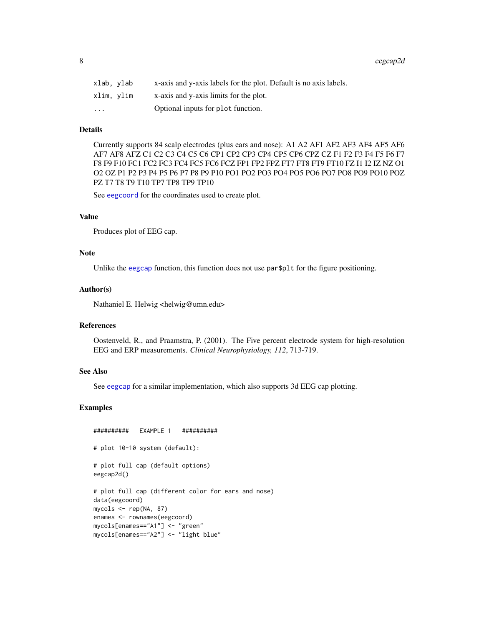<span id="page-7-0"></span>

| xlab. vlab | x-axis and y-axis labels for the plot. Default is no axis labels. |
|------------|-------------------------------------------------------------------|
| xlim. vlim | x-axis and y-axis limits for the plot.                            |
| $\ddotsc$  | Optional inputs for plot function.                                |

# Details

Currently supports 84 scalp electrodes (plus ears and nose): A1 A2 AF1 AF2 AF3 AF4 AF5 AF6 AF7 AF8 AFZ C1 C2 C3 C4 C5 C6 CP1 CP2 CP3 CP4 CP5 CP6 CPZ CZ F1 F2 F3 F4 F5 F6 F7 F8 F9 F10 FC1 FC2 FC3 FC4 FC5 FC6 FCZ FP1 FP2 FPZ FT7 FT8 FT9 FT10 FZ I1 I2 IZ NZ O1 O2 OZ P1 P2 P3 P4 P5 P6 P7 P8 P9 P10 PO1 PO2 PO3 PO4 PO5 PO6 PO7 PO8 PO9 PO10 POZ PZ T7 T8 T9 T10 TP7 TP8 TP9 TP10

See [eegcoord](#page-10-1) for the coordinates used to create plot.

#### Value

Produces plot of EEG cap.

# Note

Unlike the [eegcap](#page-3-1) function, this function does not use par\$p1t for the figure positioning.

#### Author(s)

Nathaniel E. Helwig <helwig@umn.edu>

# References

Oostenveld, R., and Praamstra, P. (2001). The Five percent electrode system for high-resolution EEG and ERP measurements. *Clinical Neurophysiology, 112*, 713-719.

# See Also

See [eegcap](#page-3-1) for a similar implementation, which also supports 3d EEG cap plotting.

```
########## EXAMPLE 1 ##########
# plot 10-10 system (default):
# plot full cap (default options)
eegcap2d()
# plot full cap (different color for ears and nose)
data(eegcoord)
mycols <- rep(NA, 87)
enames <- rownames(eegcoord)
mycols[enames=="A1"] <- "green"
mycols[enames=="A2"] <- "light blue"
```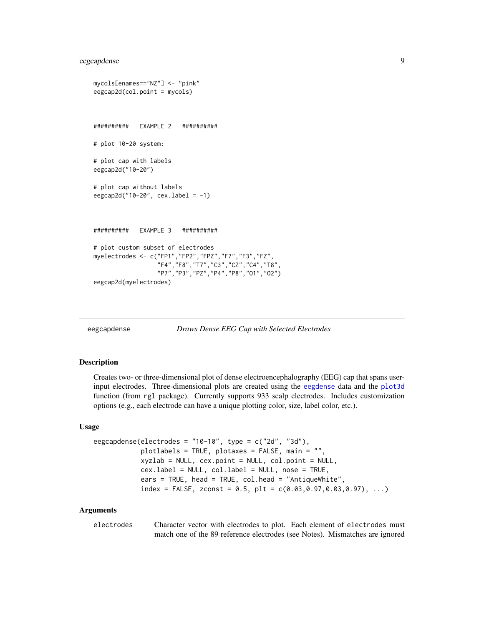# <span id="page-8-0"></span>eegcapdense 9

```
mycols[enames=="NZ"] <- "pink"
eegcap2d(col.point = mycols)
########## EXAMPLE 2 ##########
# plot 10-20 system:
# plot cap with labels
eegcap2d("10-20")
# plot cap without labels
eegcap2d("10-20", cex.label = -1)########## EXAMPLE 3 ##########
# plot custom subset of electrodes
myelectrodes <- c("FP1","FP2","FPZ","F7","F3","FZ",
                  "F4","F8","T7","C3","CZ","C4","T8",
                 "P7","P3","PZ","P4","P8","O1","O2")
eegcap2d(myelectrodes)
```

```
eegcapdense Draws Dense EEG Cap with Selected Electrodes
```
#### **Description**

Creates two- or three-dimensional plot of dense electroencephalography (EEG) cap that spans userinput electrodes. Three-dimensional plots are created using the [eegdense](#page-11-1) data and the [plot3d](#page-0-0) function (from rgl package). Currently supports 933 scalp electrodes. Includes customization options (e.g., each electrode can have a unique plotting color, size, label color, etc.).

#### Usage

```
eegcapdense(electrodes = "10-10", type = c("2d", "3d"),
            plotlabels = TRUE, plotaxes = FALSE, main = "",
            xyzlab = NULL, cex.point = NULL, col.point = NULL,
            cex.label = NULL, col.label = NULL, nose = TRUE,
            ears = TRUE, head = TRUE, col.head = "AntiqueWhite",
            index = FALSE, zconst = 0.5, plt = c(0.03, 0.97, 0.03, 0.97), ...
```
#### Arguments

electrodes Character vector with electrodes to plot. Each element of electrodes must match one of the 89 reference electrodes (see Notes). Mismatches are ignored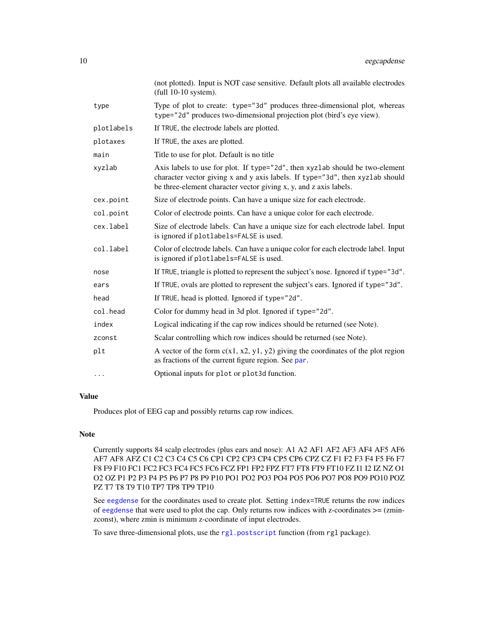<span id="page-9-0"></span>

|            | (not plotted). Input is NOT case sensitive. Default plots all available electrodes<br>(full 10-10 system).                                                                                                                         |
|------------|------------------------------------------------------------------------------------------------------------------------------------------------------------------------------------------------------------------------------------|
| type       | Type of plot to create: type="3d" produces three-dimensional plot, whereas<br>type="2d" produces two-dimensional projection plot (bird's eye view).                                                                                |
| plotlabels | If TRUE, the electrode labels are plotted.                                                                                                                                                                                         |
| plotaxes   | If TRUE, the axes are plotted.                                                                                                                                                                                                     |
| main       | Title to use for plot. Default is no title                                                                                                                                                                                         |
| xyzlab     | Axis labels to use for plot. If type="2d", then xyzlab should be two-element<br>character vector giving x and y axis labels. If type="3d", then xyzlab should<br>be three-element character vector giving x, y, and z axis labels. |
| cex.point  | Size of electrode points. Can have a unique size for each electrode.                                                                                                                                                               |
| col.point  | Color of electrode points. Can have a unique color for each electrode.                                                                                                                                                             |
| cex.label  | Size of electrode labels. Can have a unique size for each electrode label. Input<br>is ignored if plotlabels=FALSE is used.                                                                                                        |
| col.label  | Color of electrode labels. Can have a unique color for each electrode label. Input<br>is ignored if plotlabels=FALSE is used.                                                                                                      |
| nose       | If TRUE, triangle is plotted to represent the subject's nose. Ignored if type="3d".                                                                                                                                                |
| ears       | If TRUE, ovals are plotted to represent the subject's ears. Ignored if type="3d".                                                                                                                                                  |
| head       | If TRUE, head is plotted. Ignored if type="2d".                                                                                                                                                                                    |
| col.head   | Color for dummy head in 3d plot. Ignored if type="2d".                                                                                                                                                                             |
| index      | Logical indicating if the cap row indices should be returned (see Note).                                                                                                                                                           |
| zconst     | Scalar controlling which row indices should be returned (see Note).                                                                                                                                                                |
| plt        | A vector of the form $c(x1, x2, y1, y2)$ giving the coordinates of the plot region<br>as fractions of the current figure region. See par.                                                                                          |
| .          | Optional inputs for plot or plot 3d function.                                                                                                                                                                                      |

# Value

Produces plot of EEG cap and possibly returns cap row indices.

# Note

Currently supports 84 scalp electrodes (plus ears and nose): A1 A2 AF1 AF2 AF3 AF4 AF5 AF6 AF7 AF8 AFZ C1 C2 C3 C4 C5 C6 CP1 CP2 CP3 CP4 CP5 CP6 CPZ CZ F1 F2 F3 F4 F5 F6 F7 F8 F9 F10 FC1 FC2 FC3 FC4 FC5 FC6 FCZ FP1 FP2 FPZ FT7 FT8 FT9 FT10 FZ I1 I2 IZ NZ O1 O2 OZ P1 P2 P3 P4 P5 P6 P7 P8 P9 P10 PO1 PO2 PO3 PO4 PO5 PO6 PO7 PO8 PO9 PO10 POZ PZ T7 T8 T9 T10 TP7 TP8 TP9 TP10

See [eegdense](#page-11-1) for the coordinates used to create plot. Setting index=TRUE returns the row indices of [eegdense](#page-11-1) that were used to plot the cap. Only returns row indices with z-coordinates  $>=($ zminzconst), where zmin is minimum z-coordinate of input electrodes.

To save three-dimensional plots, use the [rgl.postscript](#page-0-0) function (from rgl package).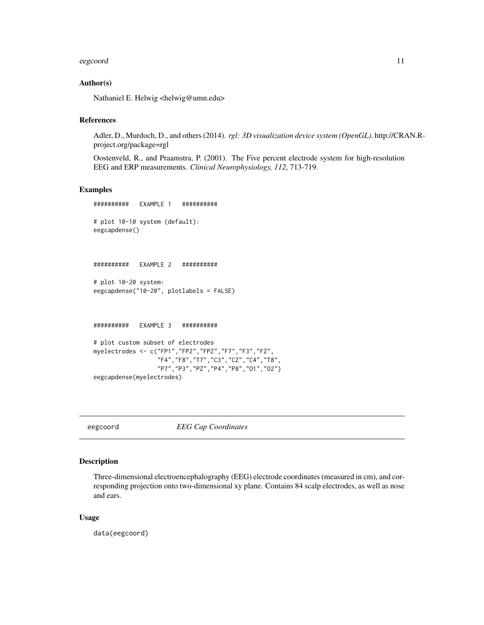#### <span id="page-10-0"></span>eegcoord 11

#### Author(s)

Nathaniel E. Helwig <helwig@umn.edu>

#### References

Adler, D., Murdoch, D., and others (2014). *rgl: 3D visualization device system (OpenGL)*. http://CRAN.Rproject.org/package=rgl

Oostenveld, R., and Praamstra, P. (2001). The Five percent electrode system for high-resolution EEG and ERP measurements. *Clinical Neurophysiology, 112*, 713-719.

#### Examples

```
########## EXAMPLE 1 ##########
# plot 10-10 system (default):
eegcapdense()
########## EXAMPLE 2 ##########
# plot 10-20 system:
eegcapdense("10-20", plotlabels = FALSE)
########## EXAMPLE 3 ##########
# plot custom subset of electrodes
myelectrodes <- c("FP1","FP2","FPZ","F7","F3","FZ",
                 "F4","F8","T7","C3","CZ","C4","T8",
                 "P7","P3","PZ","P4","P8","O1","O2")
eegcapdense(myelectrodes)
```
<span id="page-10-1"></span>eegcoord *EEG Cap Coordinates*

#### Description

Three-dimensional electroencephalography (EEG) electrode coordinates (measured in cm), and corresponding projection onto two-dimensional xy plane. Contains 84 scalp electrodes, as well as nose and ears.

#### Usage

data(eegcoord)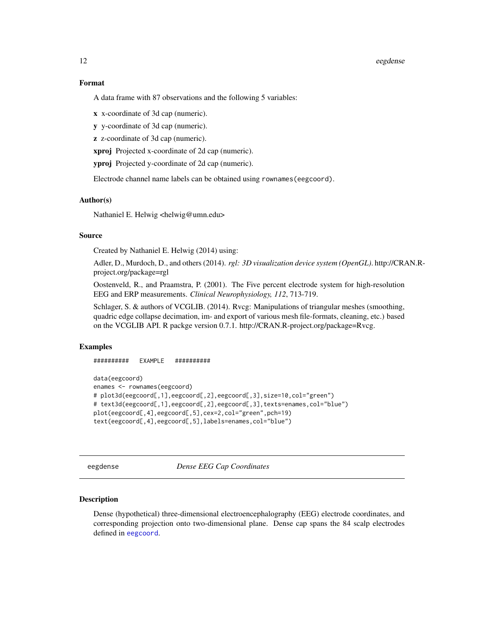#### <span id="page-11-0"></span>12 eegdense

#### Format

A data frame with 87 observations and the following 5 variables:

x x-coordinate of 3d cap (numeric).

y y-coordinate of 3d cap (numeric).

z z-coordinate of 3d cap (numeric).

xproj Projected x-coordinate of 2d cap (numeric).

yproj Projected y-coordinate of 2d cap (numeric).

Electrode channel name labels can be obtained using rownames(eegcoord).

### Author(s)

Nathaniel E. Helwig <helwig@umn.edu>

#### Source

Created by Nathaniel E. Helwig (2014) using:

Adler, D., Murdoch, D., and others (2014). *rgl: 3D visualization device system (OpenGL)*. http://CRAN.Rproject.org/package=rgl

Oostenveld, R., and Praamstra, P. (2001). The Five percent electrode system for high-resolution EEG and ERP measurements. *Clinical Neurophysiology, 112*, 713-719.

Schlager, S. & authors of VCGLIB. (2014). Rvcg: Manipulations of triangular meshes (smoothing, quadric edge collapse decimation, im- and export of various mesh file-formats, cleaning, etc.) based on the VCGLIB API. R packge version 0.7.1. http://CRAN.R-project.org/package=Rvcg.

#### Examples

########## EXAMPLE ##########

```
data(eegcoord)
enames <- rownames(eegcoord)
# plot3d(eegcoord[,1],eegcoord[,2],eegcoord[,3],size=10,col="green")
# text3d(eegcoord[,1],eegcoord[,2],eegcoord[,3],texts=enames,col="blue")
plot(eegcoord[,4],eegcoord[,5],cex=2,col="green",pch=19)
text(eegcoord[,4],eegcoord[,5],labels=enames,col="blue")
```
<span id="page-11-1"></span>eegdense *Dense EEG Cap Coordinates*

#### **Description**

Dense (hypothetical) three-dimensional electroencephalography (EEG) electrode coordinates, and corresponding projection onto two-dimensional plane. Dense cap spans the 84 scalp electrodes defined in [eegcoord](#page-10-1).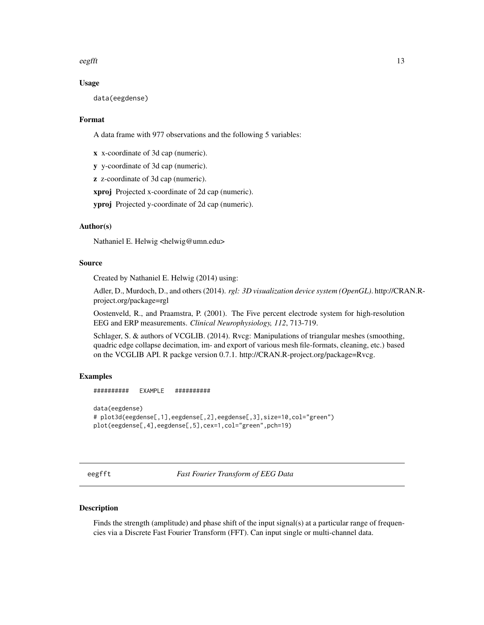<span id="page-12-0"></span> $e^{i\theta}$  eegfft 13

### Usage

data(eegdense)

### Format

A data frame with 977 observations and the following 5 variables:

x x-coordinate of 3d cap (numeric).

y y-coordinate of 3d cap (numeric).

z z-coordinate of 3d cap (numeric).

xproj Projected x-coordinate of 2d cap (numeric).

yproj Projected y-coordinate of 2d cap (numeric).

# Author(s)

Nathaniel E. Helwig <helwig@umn.edu>

# Source

Created by Nathaniel E. Helwig (2014) using:

Adler, D., Murdoch, D., and others (2014). *rgl: 3D visualization device system (OpenGL)*. http://CRAN.Rproject.org/package=rgl

Oostenveld, R., and Praamstra, P. (2001). The Five percent electrode system for high-resolution EEG and ERP measurements. *Clinical Neurophysiology, 112*, 713-719.

Schlager, S. & authors of VCGLIB. (2014). Rvcg: Manipulations of triangular meshes (smoothing, quadric edge collapse decimation, im- and export of various mesh file-formats, cleaning, etc.) based on the VCGLIB API. R packge version 0.7.1. http://CRAN.R-project.org/package=Rvcg.

#### Examples

########## EXAMPLE ##########

```
data(eegdense)
# plot3d(eegdense[,1],eegdense[,2],eegdense[,3],size=10,col="green")
plot(eegdense[,4],eegdense[,5],cex=1,col="green",pch=19)
```
<span id="page-12-1"></span>eegfft *Fast Fourier Transform of EEG Data*

### Description

Finds the strength (amplitude) and phase shift of the input signal(s) at a particular range of frequencies via a Discrete Fast Fourier Transform (FFT). Can input single or multi-channel data.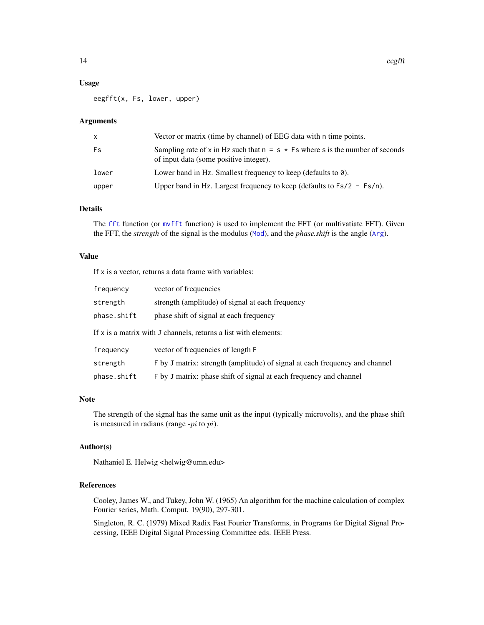#### <span id="page-13-0"></span>Usage

eegfft(x, Fs, lower, upper)

# Arguments

| $\mathsf{x}$ | Vector or matrix (time by channel) of EEG data with n time points.                                                         |
|--------------|----------------------------------------------------------------------------------------------------------------------------|
| Fs           | Sampling rate of x in Hz such that $n = s * Fs$ where s is the number of seconds<br>of input data (some positive integer). |
| lower        | Lower band in Hz. Smallest frequency to keep (defaults to 0).                                                              |
| upper        | Upper band in Hz. Largest frequency to keep (defaults to $Fs/2 - Fs/n$ ).                                                  |

# Details

The [fft](#page-0-0) function (or [mvfft](#page-0-0) function) is used to implement the FFT (or multivatiate FFT). Given the FFT, the *strength* of the signal is the modulus ([Mod](#page-0-0)), and the *phase.shift* is the angle ([Arg](#page-0-0)).

# Value

If  $x$  is a vector, returns a data frame with variables:

| frequency                                                       | vector of frequencies                                                       |  |  |  |  |
|-----------------------------------------------------------------|-----------------------------------------------------------------------------|--|--|--|--|
| strength                                                        | strength (amplitude) of signal at each frequency                            |  |  |  |  |
| phase.shift                                                     | phase shift of signal at each frequency                                     |  |  |  |  |
| If x is a matrix with J channels, returns a list with elements: |                                                                             |  |  |  |  |
| frequency                                                       | vector of frequencies of length F                                           |  |  |  |  |
| strength                                                        | F by J matrix: strength (amplitude) of signal at each frequency and channel |  |  |  |  |
| phase.shift                                                     | F by J matrix: phase shift of signal at each frequency and channel          |  |  |  |  |

#### Note

The strength of the signal has the same unit as the input (typically microvolts), and the phase shift is measured in radians (range  $-pi$  to  $pi$ ).

# Author(s)

Nathaniel E. Helwig <helwig@umn.edu>

#### References

Cooley, James W., and Tukey, John W. (1965) An algorithm for the machine calculation of complex Fourier series, Math. Comput. 19(90), 297-301.

Singleton, R. C. (1979) Mixed Radix Fast Fourier Transforms, in Programs for Digital Signal Processing, IEEE Digital Signal Processing Committee eds. IEEE Press.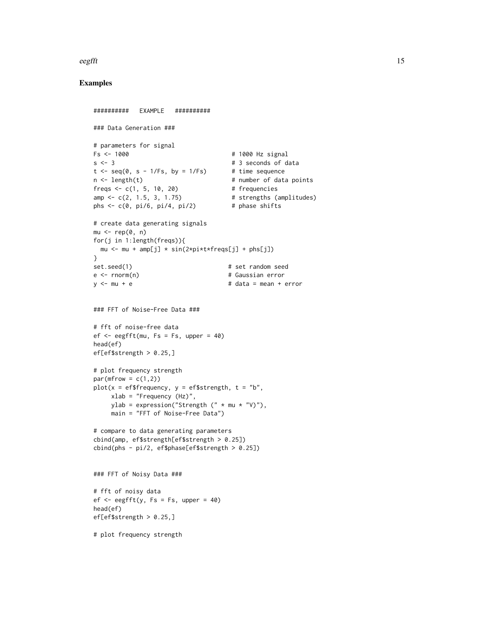#### eegfft 15

```
########## EXAMPLE ##########
### Data Generation ###
# parameters for signal
Fs <- 1000 12 Signal # 1000 Hz signal
s < -3 # 3 seconds of data
t < - seq(0, s - 1/Fs, by = 1/Fs) # time sequence
n <- length(t) # number of data points
freqs \le c(1, 5, 10, 20) # frequencies
amp \le c(2, 1.5, 3, 1.75) # strengths (amplitudes)
phs \leq c(0, pi/6, pi/4, pi/2) # phase shifts
# create data generating signals
mu < - rep(0, n)for(j in 1:length(freqs)){
 mu <- mu + amp[j] * sin(2*pi*t*freqs[j] + phs[j])
}
set.seed(1) # set random seede <- rnorm(n) # Gaussian error
y \le -mu + e # data = mean + error
### FFT of Noise-Free Data ###
# fft of noise-free data
ef \leq eegfft(mu, Fs = Fs, upper = 40)
head(ef)
ef[ef$strength > 0.25,]
# plot frequency strength
par(mfrow = c(1,2))plot(x = efffrequency, y = effstrength, t = "b",xlab = "Frequency (Hz)",
    ylab = expression("Strength (" * mu * "V)"),
    main = "FFT of Noise-Free Data")
# compare to data generating parameters
cbind(amp, ef$strength[ef$strength > 0.25])
cbind(\text{phs - pi/2, ef$phase[ef$strength > 0.25]})### FFT of Noisy Data ###
# fft of noisy data
ef \leq eegfft(y, Fs = Fs, upper = 40)
head(ef)
ef[ef$strength > 0.25,]
# plot frequency strength
```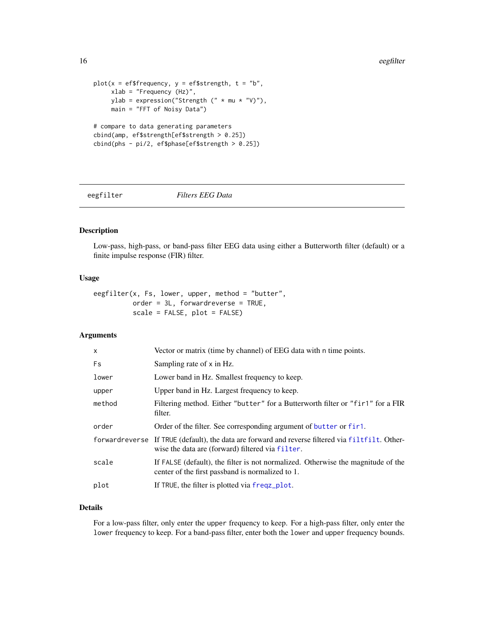```
plot(x = efffrequency, y = effstrength, t = "b",xlab = "Frequency (Hz)",
    ylab = expression("Strength (" * mu * "V)"),
    main = "FFT of Noisy Data")
# compare to data generating parameters
cbind(amp, ef$strength[ef$strength > 0.25])
cbind(phs - pi/2, ef$phase[ef$strength > 0.25])
```
#### eegfilter *Filters EEG Data*

# Description

Low-pass, high-pass, or band-pass filter EEG data using either a Butterworth filter (default) or a finite impulse response (FIR) filter.

# Usage

```
eegfilter(x, Fs, lower, upper, method = "butter",
         order = 3L, forwardreverse = TRUE,
          scale = FALSE, plot = FALSE)
```
#### Arguments

| $\times$ | Vector or matrix (time by channel) of EEG data with n time points.                                                                                   |
|----------|------------------------------------------------------------------------------------------------------------------------------------------------------|
| Fs       | Sampling rate of x in Hz.                                                                                                                            |
| lower    | Lower band in Hz. Smallest frequency to keep.                                                                                                        |
| upper    | Upper band in Hz. Largest frequency to keep.                                                                                                         |
| method   | Filtering method. Either "butter" for a Butterworth filter or "fir1" for a FIR<br>filter.                                                            |
| order    | Order of the filter. See corresponding argument of butter or fir1.                                                                                   |
|          | forwardreverse If TRUE (default), the data are forward and reverse filtered via filtfilt. Other-<br>wise the data are (forward) filtered via filter. |
| scale    | If FALSE (default), the filter is not normalized. Otherwise the magnitude of the<br>center of the first passband is normalized to 1.                 |
| plot     | If TRUE, the filter is plotted via freqz_plot.                                                                                                       |

# Details

For a low-pass filter, only enter the upper frequency to keep. For a high-pass filter, only enter the lower frequency to keep. For a band-pass filter, enter both the lower and upper frequency bounds.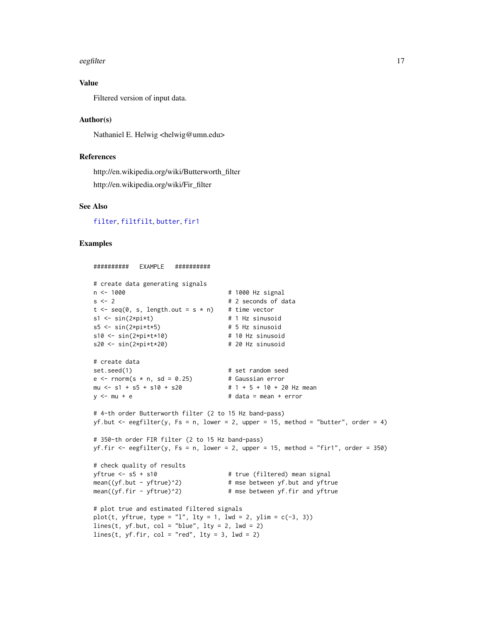#### <span id="page-16-0"></span>eegfilter tot 17

# Value

Filtered version of input data.

#### Author(s)

Nathaniel E. Helwig <helwig@umn.edu>

# References

http://en.wikipedia.org/wiki/Butterworth\_filter http://en.wikipedia.org/wiki/Fir\_filter

# See Also

[filter](#page-0-0), [filtfilt](#page-0-0), [butter](#page-0-0), [fir1](#page-0-0)

```
########## EXAMPLE ##########
# create data generating signals
n <- 1000 # 1000 Hz signal
s < -2 # 2 seconds of data
t \leq -\text{seq}(0, s, \text{length.out} = s * n) # time vector
s1 \leq -\sin(2 \times p i \times t) # 1 Hz sinusoid
s5 \le -\sin(2 \times \pi) \le +5 + 5 Hz sinusoid
s10 \leq -\sin(2*pi*t*10) # 10 Hz sinusoid
s20 \leq -\sin(2*pi*t*20) # 20 Hz sinusoid
# create data
set.seed(1) # set random seede \le - rnorm(s * n, sd = 0.25) # Gaussian error
mu \leftarrow s1 + s5 + s10 + s20 # 1 + 5 + 10 + 20 Hz mean
y \le -mu + e # data = mean + error
# 4-th order Butterworth filter (2 to 15 Hz band-pass)
yf.but \leq eegfilter(y, Fs = n, lower = 2, upper = 15, method = "butter", order = 4)
# 350-th order FIR filter (2 to 15 Hz band-pass)
yf.fir \leq eegfilter(y, Fs = n, lower = 2, upper = 15, method = "fir1", order = 350)
# check quality of results
yftrue <- s5 + s10 # true (filtered) mean signal<br>mean((yf.but - yftrue)^2) # mse between yf.but and yftr
                                   # mse between yf.but and yftrue
mean((yf.fir - yftrue)^2) # mse between yf.fir and yftrue
# plot true and estimated filtered signals
plot(t, yftrue, type = "l", lty = 1, lwd = 2, ylim = c(-3, 3))
lines(t, yf.but, col = "blue", lty = 2, lwd = 2)lines(t, yf.fr, col = "red", lty = 3, lwd = 2)
```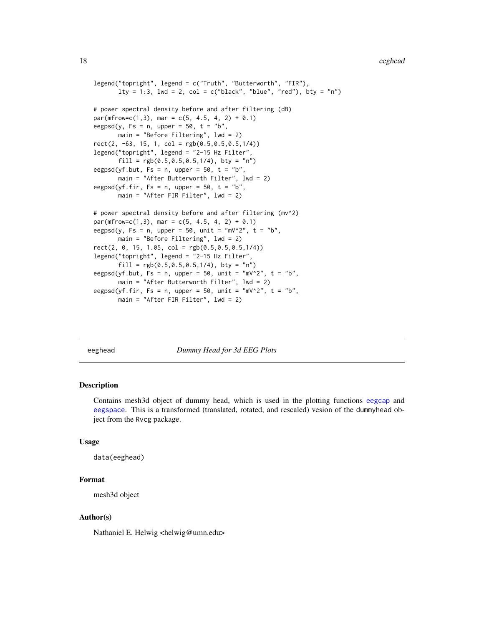```
legend("topright", legend = c("Truth", "Butterworth", "FIR"),
       lty = 1:3, lwd = 2, col = c("black", "blue", "red"), bty = "n")
# power spectral density before and after filtering (dB)
par(mfrow=c(1,3), mar = c(5, 4.5, 4, 2) + 0.1)eegpsd(y, Fs = n, upper = 50, t = "b",
       main = "Before Filtering", lwd = 2)
rect(2, -63, 15, 1, col = rgb(0.5, 0.5, 0.5, 1/4))legend("topright", legend = "2-15 Hz Filter",
       fill = rgb(0.5, 0.5, 0.5, 1/4), bty = "n")eegpsd(yf.but, Fs = n, upper = 50, t = "b"
       main = "After Butterworth Filter", lwd = 2)
eegpsd(yf.fir, Fs = n, upper = 50, t = "b",main = "After FIR Filter", lwd = 2)
# power spectral density before and after filtering (mv^2)
par(mfrow=c(1,3), mar = c(5, 4.5, 4, 2) + 0.1)eegpsd(y, Fs = n, upper = 50, unit = "mV^2", t = "b",
       main = "Before Filtering", lwd = 2)
rect(2, 0, 15, 1.05, col = rgb(0.5, 0.5, 0.5, 1/4))legend("topright", legend = "2-15 Hz Filter",
       fill = <math>rgb(0.5, 0.5, 0.5, 1/4)</math>, <math>bty = "n")</math>eegpsd(yf.but, Fs = n, upper = 50, unit = "mV^2", t = "b",
       main = "After Butterworth Filter", lwd = 2)
eegpsd(yf.fir, Fs = n, upper = 50, unit = "mV^2", t = "b",
       main = "After FIR Filter", lwd = 2)
```
eeghead *Dummy Head for 3d EEG Plots*

#### **Description**

Contains mesh3d object of dummy head, which is used in the plotting functions [eegcap](#page-3-1) and [eegspace](#page-30-1). This is a transformed (translated, rotated, and rescaled) vesion of the dummyhead object from the Rvcg package.

#### Usage

```
data(eeghead)
```
#### Format

mesh3d object

#### Author(s)

Nathaniel E. Helwig <helwig@umn.edu>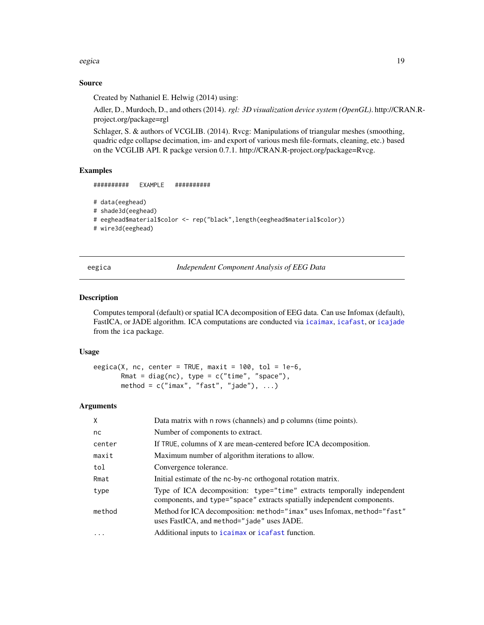<span id="page-18-0"></span>eegica 19

#### Source

Created by Nathaniel E. Helwig (2014) using:

Adler, D., Murdoch, D., and others (2014). *rgl: 3D visualization device system (OpenGL)*. http://CRAN.Rproject.org/package=rgl

Schlager, S. & authors of VCGLIB. (2014). Rvcg: Manipulations of triangular meshes (smoothing, quadric edge collapse decimation, im- and export of various mesh file-formats, cleaning, etc.) based on the VCGLIB API. R packge version 0.7.1. http://CRAN.R-project.org/package=Rvcg.

### Examples

########## EXAMPLE ##########

```
# data(eeghead)
```
# shade3d(eeghead)

# eeghead\$material\$color <- rep("black",length(eeghead\$material\$color))

# wire3d(eeghead)

eegica *Independent Component Analysis of EEG Data*

#### Description

Computes temporal (default) or spatial ICA decomposition of EEG data. Can use Infomax (default), FastICA, or JADE algorithm. ICA computations are conducted via [icaimax](#page-0-0), [icafast](#page-0-0), or [icajade](#page-0-0) from the ica package.

### Usage

```
eegica(X, nc, center = TRUE, maxit = 100, tol = 1e-6,
      Rmat = diag(nc), type = c("time", "space"),
      method = c("imax", "fast", "jade"), ...
```
#### Arguments

| X         | Data matrix with n rows (channels) and p columns (time points).                                                                                   |
|-----------|---------------------------------------------------------------------------------------------------------------------------------------------------|
| nc        | Number of components to extract.                                                                                                                  |
| center    | If TRUE, columns of X are mean-centered before ICA decomposition.                                                                                 |
| maxit     | Maximum number of algorithm iterations to allow.                                                                                                  |
| tol       | Convergence tolerance.                                                                                                                            |
| Rmat      | Initial estimate of the nc-by-nc orthogonal rotation matrix.                                                                                      |
| type      | Type of ICA decomposition: type="time" extracts temporally independent<br>components, and type="space" extracts spatially independent components. |
| method    | Method for ICA decomposition: method="imax" uses Infomax, method="fast"<br>uses FastICA, and method="jade" uses JADE.                             |
| $\ddotsc$ | Additional inputs to icaimax or icafast function.                                                                                                 |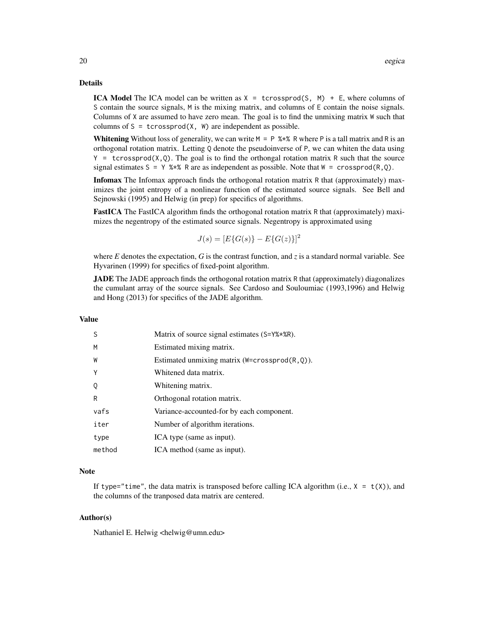# Details

**ICA Model** The ICA model can be written as  $X = \text{crossprod}(S, M) + E$ , where columns of S contain the source signals, M is the mixing matrix, and columns of E contain the noise signals. Columns of X are assumed to have zero mean. The goal is to find the unmixing matrix W such that columns of  $S = t$ crossprod $(X, W)$  are independent as possible.

**Whitening** Without loss of generality, we can write  $M = P$  %\*% R where P is a tall matrix and R is an orthogonal rotation matrix. Letting Q denote the pseudoinverse of P, we can whiten the data using  $Y =$  tcrossprod $(X, Q)$ . The goal is to find the orthongal rotation matrix R such that the source signal estimates  $S = Y$  %\*% R are as independent as possible. Note that  $W = \text{crossprod}(R, Q)$ .

**Infomax** The Infomax approach finds the orthogonal rotation matrix R that (approximately) maximizes the joint entropy of a nonlinear function of the estimated source signals. See Bell and Sejnowski (1995) and Helwig (in prep) for specifics of algorithms.

FastICA The FastICA algorithm finds the orthogonal rotation matrix R that (approximately) maximizes the negentropy of the estimated source signals. Negentropy is approximated using

$$
J(s) = [E\{G(s)\} - E\{G(z)\}]^2
$$

where  $E$  denotes the expectation,  $G$  is the contrast function, and  $\zeta$  is a standard normal variable. See Hyvarinen (1999) for specifics of fixed-point algorithm.

JADE The JADE approach finds the orthogonal rotation matrix R that (approximately) diagonalizes the cumulant array of the source signals. See Cardoso and Souloumiac (1993,1996) and Helwig and Hong (2013) for specifics of the JADE algorithm.

#### Value

| S      | Matrix of source signal estimates (S=Y%*%R).         |
|--------|------------------------------------------------------|
| M      | Estimated mixing matrix.                             |
| W      | Estimated unmixing matrix ( $W = crossprod(R, Q)$ ). |
| Y      | Whitened data matrix.                                |
| Q      | Whitening matrix.                                    |
| R      | Orthogonal rotation matrix.                          |
| vafs   | Variance-accounted-for by each component.            |
| iter   | Number of algorithm iterations.                      |
| type   | ICA type (same as input).                            |
| method | ICA method (same as input).                          |
|        |                                                      |

#### Note

If type="time", the data matrix is transposed before calling ICA algorithm (i.e.,  $X = t(X)$ ), and the columns of the tranposed data matrix are centered.

### Author(s)

Nathaniel E. Helwig <helwig@umn.edu>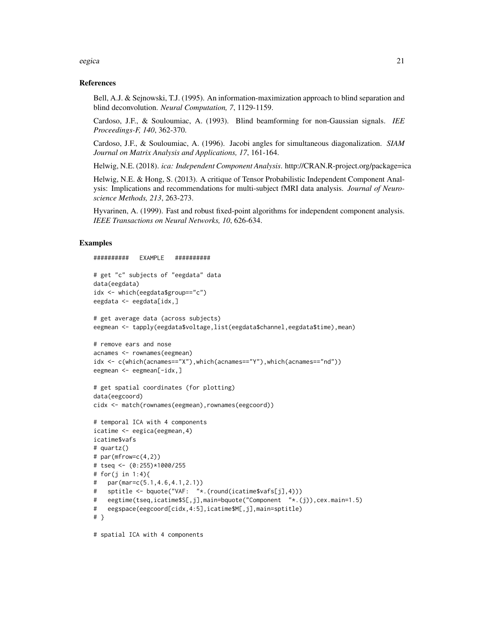#### eegica 21 aasta 2008 10 km ilma aasta 2008 10 km ilma aasta 2008 10 km ilma aasta 21 aasta 21 aasta 21 aasta 2

#### References

Bell, A.J. & Sejnowski, T.J. (1995). An information-maximization approach to blind separation and blind deconvolution. *Neural Computation, 7*, 1129-1159.

Cardoso, J.F., & Souloumiac, A. (1993). Blind beamforming for non-Gaussian signals. *IEE Proceedings-F, 140*, 362-370.

Cardoso, J.F., & Souloumiac, A. (1996). Jacobi angles for simultaneous diagonalization. *SIAM Journal on Matrix Analysis and Applications, 17*, 161-164.

Helwig, N.E. (2018). *ica: Independent Component Analysis*. http://CRAN.R-project.org/package=ica

Helwig, N.E. & Hong, S. (2013). A critique of Tensor Probabilistic Independent Component Analysis: Implications and recommendations for multi-subject fMRI data analysis. *Journal of Neuroscience Methods, 213*, 263-273.

Hyvarinen, A. (1999). Fast and robust fixed-point algorithms for independent component analysis. *IEEE Transactions on Neural Networks, 10*, 626-634.

```
########## EXAMPLE ##########
# get "c" subjects of "eegdata" data
data(eegdata)
idx <- which(eegdata$group=="c")
eegdata <- eegdata[idx,]
# get average data (across subjects)
eegmean <- tapply(eegdata$voltage,list(eegdata$channel,eegdata$time),mean)
# remove ears and nose
acnames <- rownames(eegmean)
idx <- c(which(acnames=="X"),which(acnames=="Y"),which(acnames=="nd"))
eegmean <- eegmean[-idx,]
# get spatial coordinates (for plotting)
data(eegcoord)
cidx <- match(rownames(eegmean),rownames(eegcoord))
# temporal ICA with 4 components
icatime <- eegica(eegmean,4)
icatime$vafs
# quartz()
# par(mfrow=c(4,2))
# tseq <- (0:255)*1000/255
# for(j in 1:4){
# par(mar=c(5.1,4.6,4.1,2.1))
# sptitle <- bquote("VAF: "*.(round(icatime$vafs[j],4)))
# eegtime(tseq,icatime$S[,j],main=bquote("Component "*.(j)),cex.main=1.5)
# eegspace(eegcoord[cidx,4:5],icatime$M[,j],main=sptitle)
# }
# spatial ICA with 4 components
```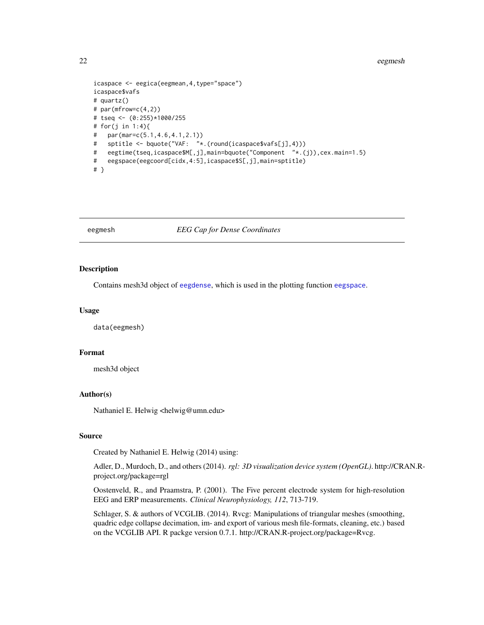#### <span id="page-21-0"></span>22 eegmesh

```
icaspace <- eegica(eegmean,4,type="space")
icaspace$vafs
# quartz()
# par(mfrow=c(4,2))# tseq <- (0:255)*1000/255
# for(j in 1:4){
# par(mar=c(5.1,4.6,4.1,2.1))
# sptitle <- bquote("VAF: "*.(round(icaspace$vafs[j],4)))
# eegtime(tseq,icaspace$M[,j],main=bquote("Component "*.(j)),cex.main=1.5)
# eegspace(eegcoord[cidx,4:5],icaspace$S[,j],main=sptitle)
# }
```
#### eegmesh *EEG Cap for Dense Coordinates*

# Description

Contains mesh3d object of [eegdense](#page-11-1), which is used in the plotting function [eegspace](#page-30-1).

#### Usage

data(eegmesh)

### Format

mesh3d object

#### Author(s)

Nathaniel E. Helwig <helwig@umn.edu>

#### Source

Created by Nathaniel E. Helwig (2014) using:

Adler, D., Murdoch, D., and others (2014). *rgl: 3D visualization device system (OpenGL)*. http://CRAN.Rproject.org/package=rgl

Oostenveld, R., and Praamstra, P. (2001). The Five percent electrode system for high-resolution EEG and ERP measurements. *Clinical Neurophysiology, 112*, 713-719.

Schlager, S. & authors of VCGLIB. (2014). Rvcg: Manipulations of triangular meshes (smoothing, quadric edge collapse decimation, im- and export of various mesh file-formats, cleaning, etc.) based on the VCGLIB API. R packge version 0.7.1. http://CRAN.R-project.org/package=Rvcg.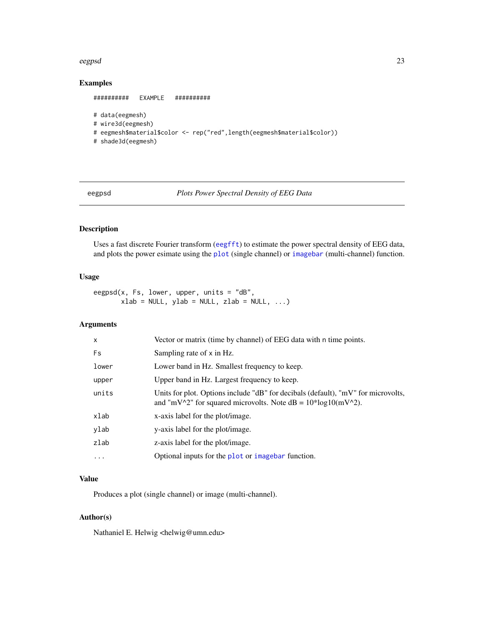#### <span id="page-22-0"></span>eegpsd 23

# Examples

```
########## EXAMPLE ##########
# data(eegmesh)
# wire3d(eegmesh)
# eegmesh$material$color <- rep("red",length(eegmesh$material$color))
# shade3d(eegmesh)
```
eegpsd *Plots Power Spectral Density of EEG Data*

# Description

Uses a fast discrete Fourier transform ([eegfft](#page-12-1)) to estimate the power spectral density of EEG data, and plots the power esimate using the [plot](#page-0-0) (single channel) or [imagebar](#page-0-0) (multi-channel) function.

#### Usage

eegpsd(x, Fs, lower, upper, units = "dB",  $xlab = NULL, ylab = NULL, zlab = NULL, ...)$ 

# Arguments

| Vector or matrix (time by channel) of EEG data with n time points.                                                                                   |
|------------------------------------------------------------------------------------------------------------------------------------------------------|
| Sampling rate of x in Hz.                                                                                                                            |
| Lower band in Hz. Smallest frequency to keep.                                                                                                        |
| Upper band in Hz. Largest frequency to keep.                                                                                                         |
| Units for plot. Options include "dB" for decibals (default), "mV" for microvolts,<br>and "mV^2" for squared microvolts. Note $dB = 10*log10(mV^2)$ . |
| x-axis label for the plot/image.                                                                                                                     |
| y-axis label for the plot/image.                                                                                                                     |
| z-axis label for the plot/image.                                                                                                                     |
| Optional inputs for the plot or imagebar function.                                                                                                   |
|                                                                                                                                                      |

### Value

Produces a plot (single channel) or image (multi-channel).

# Author(s)

Nathaniel E. Helwig <helwig@umn.edu>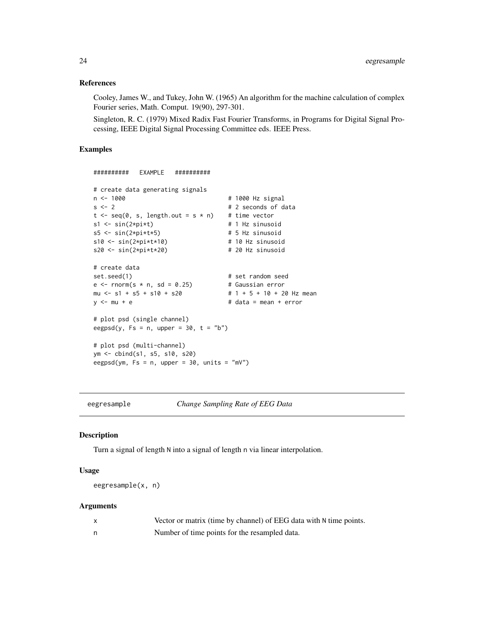#### References

Cooley, James W., and Tukey, John W. (1965) An algorithm for the machine calculation of complex Fourier series, Math. Comput. 19(90), 297-301.

Singleton, R. C. (1979) Mixed Radix Fast Fourier Transforms, in Programs for Digital Signal Processing, IEEE Digital Signal Processing Committee eds. IEEE Press.

# Examples

```
########## EXAMPLE ##########
# create data generating signals
n <- 1000 12 1000 12 1000 12 1000 12 1000 12 1000 12 1000 12 1010 12 1010 12 1010 12 12 13 13 14 1
s < -2 # 2 seconds of data
t \leq -seq(0, s, length.out = s * n) # time vector
s1 \leq \sin(2 \times p i \times t) # 1 Hz sinusoid
s5 \leq -\sin(2 \times pi \times t \times 5) # 5 Hz sinusoid
s10 \leftarrow \sin(2 \times pi \times t \times 10) # 10 Hz sinusoid
s20 \leq -\sin(2*pi*t*20) # 20 Hz sinusoid
# create data
set.seed(1) # set random seede \le rnorm(s * n, sd = 0.25) # Gaussian error
mu \leftarrow s1 + s5 + s10 + s20 # 1 + 5 + 10 + 20 Hz mean
y \le -mu + e # data = mean + error
# plot psd (single channel)
eegpsd(y, Fs = n, upper = 30, t = "b")# plot psd (multi-channel)
ym <- cbind(s1, s5, s10, s20)
eegpsd(ym, Fs = n, upper = 30, units = "mV")
```
eegresample *Change Sampling Rate of EEG Data*

#### Description

Turn a signal of length N into a signal of length n via linear interpolation.

#### Usage

eegresample(x, n)

#### Arguments

| Vector or matrix (time by channel) of EEG data with N time points. |
|--------------------------------------------------------------------|
| Number of time points for the resampled data.                      |

<span id="page-23-0"></span>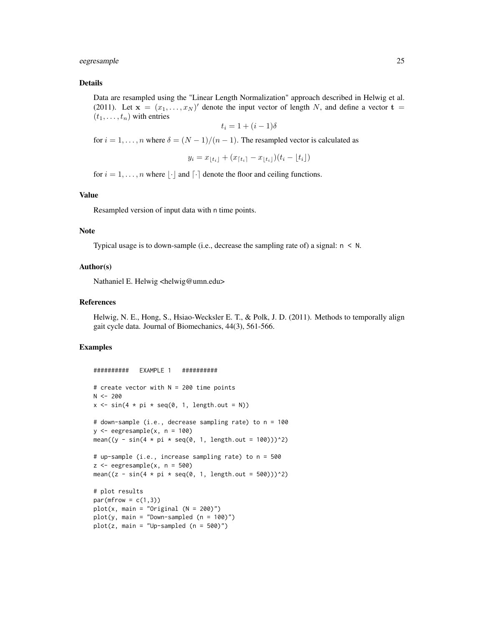#### eegresample 25

#### Details

Data are resampled using the "Linear Length Normalization" approach described in Helwig et al. (2011). Let  $\mathbf{x} = (x_1, \dots, x_N)'$  denote the input vector of length N, and define a vector  $\mathbf{t} =$  $(t_1, \ldots, t_n)$  with entries

$$
t_i = 1 + (i - 1)\delta
$$

for  $i = 1, \ldots, n$  where  $\delta = (N - 1)/(n - 1)$ . The resampled vector is calculated as

$$
y_i = x_{\lfloor t_i \rfloor} + (x_{\lceil t_i \rceil} - x_{\lfloor t_i \rfloor})(t_i - \lfloor t_i \rfloor)
$$

for  $i = 1, \ldots, n$  where  $|\cdot|$  and  $\lceil \cdot \rceil$  denote the floor and ceiling functions.

#### Value

Resampled version of input data with n time points.

#### Note

Typical usage is to down-sample (i.e., decrease the sampling rate of) a signal:  $n \leq N$ .

#### Author(s)

Nathaniel E. Helwig <helwig@umn.edu>

#### References

Helwig, N. E., Hong, S., Hsiao-Wecksler E. T., & Polk, J. D. (2011). Methods to temporally align gait cycle data. Journal of Biomechanics, 44(3), 561-566.

```
########## EXAMPLE 1 ##########
# create vector with N = 200 time points
N < -200x \le -\sin(4 \times pi \times \text{seq}(0, 1, \text{length.out} = N))# down-sample (i.e., decrease sampling rate) to n = 100
y \leq - eegresample(x, n = 100)
mean((y - sin(4 * pi * seq(0, 1, length.out = 100)))^2)# up-sample (i.e., increase sampling rate) to n = 500
z \leq - eegresample(x, n = 500)
mean((z - sin(4 * pi * seq(0, 1, length.out = 500)))^2)# plot results
par(mfrow = c(1,3))plot(x, main = "Original (N = 200)")
plot(y, main = "Down-sampled (n = 100)")plot(z, main = "Up-sampled (n = 500)")
```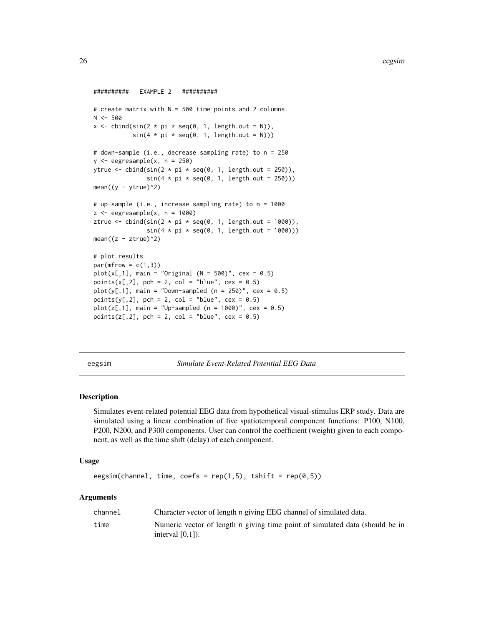```
########## EXAMPLE 2 ##########
# create matrix with N = 500 time points and 2 columns
N < -500x \le cbind(sin(2 * pi * seq(0, 1, length.out = N)),
           sin(4 * pi * seq(0, 1, length.out = N)))# down-sample (i.e., decrease sampling rate) to n = 250
y \leftarrow eegresample(x, n = 250)
ytrue <- cbind(sin(2 * pi * seq(0, 1, length.out = 250)),
               sin(4 * pi * seq(0, 1, length.out = 250)))mean((y - ytrue)^2)# up-sample (i.e., increase sampling rate) to n = 1000
z <- eegresample(x, n = 1000)
ztrue <- cbind(sin(2 * pi * seq(0, 1, length.out = 1000)),
               sin(4 * pi * seq(0, 1, length.out = 1000)))mean((z - ztrue)^2)# plot results
par(mfrow = c(1,3))plot(x[,1], \text{ main} = "Original (N = 500)", \text{ cex} = 0.5)points(x[, 2], pch = 2, col = "blue", cex = 0.5)
plot(y[,1], \text{ main} = "Down-sampled (n = 250)", \text{cex} = 0.5)points(y[,2], pch = 2, col = "blue", cex = 0.5)
plot(z[, 1], min = "Up-sampled (n = 1000)", cex = 0.5)points(z[,2], pch = 2, col = "blue", cex = 0.5)
```
eegsim *Simulate Event-Related Potential EEG Data*

#### **Description**

Simulates event-related potential EEG data from hypothetical visual-stimulus ERP study. Data are simulated using a linear combination of five spatiotemporal component functions: P100, N100, P200, N200, and P300 components. User can control the coefficient (weight) given to each component, as well as the time shift (delay) of each component.

#### Usage

```
eegsim(channel, time, coefs = rep(1,5), tshift = rep(0,5))
```
#### Arguments

| channel | Character vector of length n giving EEG channel of simulated data.                                 |
|---------|----------------------------------------------------------------------------------------------------|
| time    | Numeric vector of length n giving time point of simulated data (should be in<br>interval $[0,1]$ . |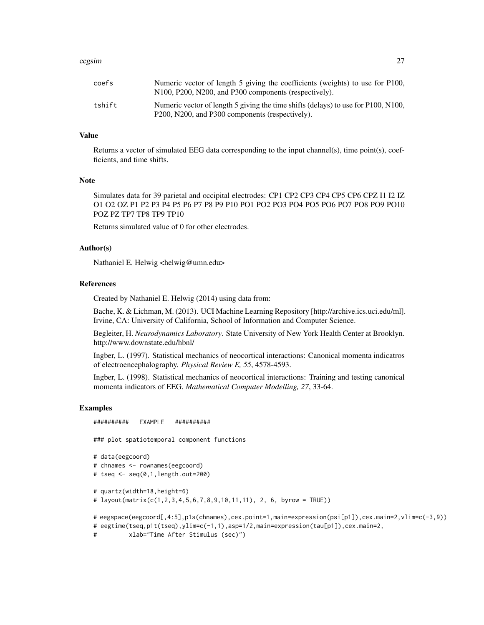#### eegsim 27

| coefs  | Numeric vector of length 5 giving the coefficients (weights) to use for P100,<br>N <sub>100</sub> , P <sub>200</sub> , N <sub>200</sub> , and P <sub>300</sub> components (respectively). |
|--------|-------------------------------------------------------------------------------------------------------------------------------------------------------------------------------------------|
| tshift | Numeric vector of length 5 giving the time shifts (delays) to use for P100, N100,<br>P <sub>200</sub> , N <sub>200</sub> , and P <sub>300</sub> components (respectively).                |

### Value

Returns a vector of simulated EEG data corresponding to the input channel(s), time point(s), coefficients, and time shifts.

#### Note

Simulates data for 39 parietal and occipital electrodes: CP1 CP2 CP3 CP4 CP5 CP6 CPZ I1 I2 IZ O1 O2 OZ P1 P2 P3 P4 P5 P6 P7 P8 P9 P10 PO1 PO2 PO3 PO4 PO5 PO6 PO7 PO8 PO9 PO10 POZ PZ TP7 TP8 TP9 TP10

Returns simulated value of 0 for other electrodes.

#### Author(s)

Nathaniel E. Helwig <helwig@umn.edu>

#### References

Created by Nathaniel E. Helwig (2014) using data from:

Bache, K. & Lichman, M. (2013). UCI Machine Learning Repository [http://archive.ics.uci.edu/ml]. Irvine, CA: University of California, School of Information and Computer Science.

Begleiter, H. *Neurodynamics Laboratory*. State University of New York Health Center at Brooklyn. http://www.downstate.edu/hbnl/

Ingber, L. (1997). Statistical mechanics of neocortical interactions: Canonical momenta indicatros of electroencephalography. *Physical Review E, 55*, 4578-4593.

Ingber, L. (1998). Statistical mechanics of neocortical interactions: Training and testing canonical momenta indicators of EEG. *Mathematical Computer Modelling, 27*, 33-64.

```
########## EXAMPLE ##########
### plot spatiotemporal component functions
# data(eegcoord)
# chnames <- rownames(eegcoord)
# tseq <- seq(0,1,length.out=200)
# quartz(width=18,height=6)
# layout(matrix(c(1,2,3,4,5,6,7,8,9,10,11,11), 2, 6, byrow = TRUE))
# eegspace(eegcoord[,4:5],p1s(chnames),cex.point=1,main=expression(psi[p1]),cex.main=2,vlim=c(-3,9))
# eegtime(tseq,p1t(tseq),ylim=c(-1,1),asp=1/2,main=expression(tau[p1]),cex.main=2,
```

```
# xlab="Time After Stimulus (sec)")
```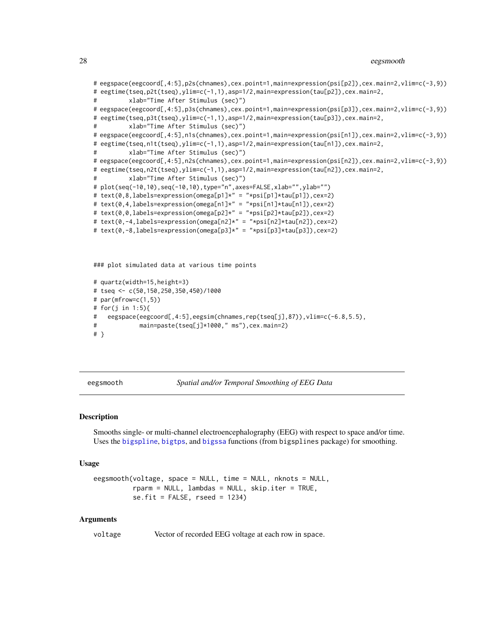#### <span id="page-27-0"></span>28 eegsmooth and the contract of the contract of the contract of the contract of the contract of the contract of the contract of the contract of the contract of the contract of the contract of the contract of the contract

```
# eegspace(eegcoord[,4:5],p2s(chnames),cex.point=1,main=expression(psi[p2]),cex.main=2,vlim=c(-3,9))
# eegtime(tseq,p2t(tseq),ylim=c(-1,1),asp=1/2,main=expression(tau[p2]),cex.main=2,
# xlab="Time After Stimulus (sec)")
# eegspace(eegcoord[,4:5],p3s(chnames),cex.point=1,main=expression(psi[p3]),cex.main=2,vlim=c(-3,9))
# eegtime(tseq,p3t(tseq),ylim=c(-1,1),asp=1/2,main=expression(tau[p3]),cex.main=2,
# xlab="Time After Stimulus (sec)")
# eegspace(eegcoord[,4:5],n1s(chnames),cex.point=1,main=expression(psi[n1]),cex.main=2,vlim=c(-3,9))
# eegtime(tseq,n1t(tseq),ylim=c(-1,1),asp=1/2,main=expression(tau[n1]),cex.main=2,
# xlab="Time After Stimulus (sec)")
# eegspace(eegcoord[,4:5],n2s(chnames),cex.point=1,main=expression(psi[n2]),cex.main=2,vlim=c(-3,9))
# eegtime(tseq,n2t(tseq),ylim=c(-1,1),asp=1/2,main=expression(tau[n2]),cex.main=2,
         xlab="Time After Stimulus (sec)")
# plot(seq(-10,10),seq(-10,10),type="n",axes=FALSE,xlab="",ylab="")
# text(0,8,labels=expression(omega[p1]*" = "*psi[p1]*tau[p1]),cex=2)
# text(0,4,labels=expression(omega[n1]*" = "*psi[n1]*tau[n1]),cex=2)
# text(0,0,labels=expression(omega[p2]*" = "*psi[p2]*tau[p2]),cex=2)
# text(0,-4,labels=expression(omega[n2]*" = "*psi[n2]*tau[n2]),cex=2)
# text(0,-8,labels=expression(omega[p3]*" = "*psi[p3]*tau[p3]),cex=2)
### plot simulated data at various time points
# quartz(width=15,height=3)
# tseq <- c(50,150,250,350,450)/1000
# par(mfrow=c(1,5))
```

```
# for(j in 1:5){
```

```
# eegspace(eegcoord[,4:5],eegsim(chnames,rep(tseq[j],87)),vlim=c(-6.8,5.5),
```

```
# main=paste(tseq[j]*1000," ms"),cex.main=2)
```

```
# }
```
eegsmooth *Spatial and/or Temporal Smoothing of EEG Data*

#### Description

Smooths single- or multi-channel electroencephalography (EEG) with respect to space and/or time. Uses the [bigspline](#page-0-0), [bigtps](#page-0-0), and [bigssa](#page-0-0) functions (from bigsplines package) for smoothing.

#### Usage

```
eegsmooth(voltage, space = NULL, time = NULL, nknots = NULL,
         rparm = NULL, lambdas = NULL, skip.iter = TRUE,
         se.fit = FALSE, reed = 1234)
```
#### Arguments

voltage Vector of recorded EEG voltage at each row in space.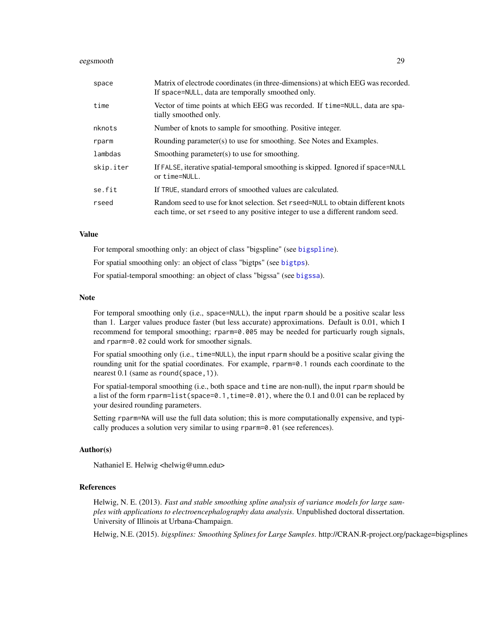#### <span id="page-28-0"></span>eegsmooth 29

| space     | Matrix of electrode coordinates (in three-dimensions) at which EEG was recorded.<br>If space=NULL, data are temporally smoothed only.                                |
|-----------|----------------------------------------------------------------------------------------------------------------------------------------------------------------------|
| time      | Vector of time points at which EEG was recorded. If time=NULL, data are spa-<br>tially smoothed only.                                                                |
| nknots    | Number of knots to sample for smoothing. Positive integer.                                                                                                           |
| rparm     | Rounding parameter(s) to use for smoothing. See Notes and Examples.                                                                                                  |
| lambdas   | Smoothing parameter(s) to use for smoothing.                                                                                                                         |
| skip.iter | If FALSE, iterative spatial-temporal smoothing is skipped. Ignored if space=NULL<br>or time=NULL.                                                                    |
| se.fit    | If TRUE, standard errors of smoothed values are calculated.                                                                                                          |
| rseed     | Random seed to use for knot selection. Set r seed=NULL to obtain different knots<br>each time, or set r seed to any positive integer to use a different random seed. |

# Value

For temporal smoothing only: an object of class "bigspline" (see [bigspline](#page-0-0)).

For spatial smoothing only: an object of class "bigtps" (see [bigtps](#page-0-0)).

For spatial-temporal smoothing: an object of class "bigssa" (see [bigssa](#page-0-0)).

#### Note

For temporal smoothing only (i.e., space=NULL), the input rparm should be a positive scalar less than 1. Larger values produce faster (but less accurate) approximations. Default is 0.01, which I recommend for temporal smoothing; rparm=0.005 may be needed for particuarly rough signals, and rparm=0.02 could work for smoother signals.

For spatial smoothing only (i.e., time=NULL), the input rparm should be a positive scalar giving the rounding unit for the spatial coordinates. For example, rparm=0.1 rounds each coordinate to the nearest 0.1 (same as round(space,1)).

For spatial-temporal smoothing (i.e., both space and time are non-null), the input rparm should be a list of the form rparm=list(space=0.1,time=0.01), where the 0.1 and 0.01 can be replaced by your desired rounding parameters.

Setting rparm=NA will use the full data solution; this is more computationally expensive, and typically produces a solution very similar to using rparm=0.01 (see references).

#### Author(s)

Nathaniel E. Helwig <helwig@umn.edu>

#### References

Helwig, N. E. (2013). *Fast and stable smoothing spline analysis of variance models for large samples with applications to electroencephalography data analysis*. Unpublished doctoral dissertation. University of Illinois at Urbana-Champaign.

Helwig, N.E. (2015). *bigsplines: Smoothing Splines for Large Samples*. http://CRAN.R-project.org/package=bigsplines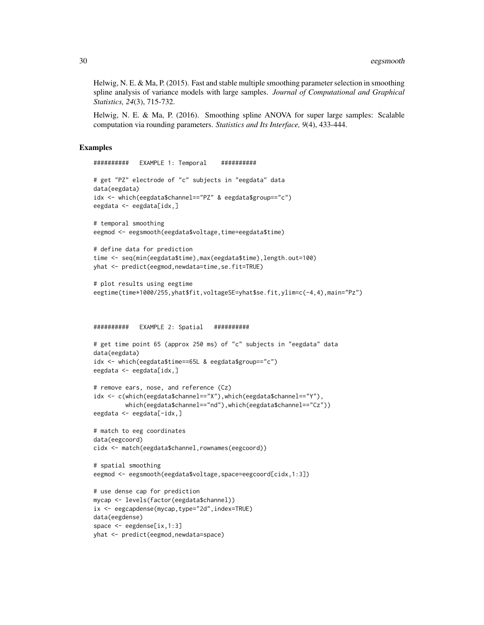Helwig, N. E. & Ma, P. (2015). Fast and stable multiple smoothing parameter selection in smoothing spline analysis of variance models with large samples. *Journal of Computational and Graphical Statistics, 24*(3), 715-732.

Helwig, N. E. & Ma, P. (2016). Smoothing spline ANOVA for super large samples: Scalable computation via rounding parameters. *Statistics and Its Interface, 9*(4), 433-444.

```
########## EXAMPLE 1: Temporal ##########
# get "PZ" electrode of "c" subjects in "eegdata" data
data(eegdata)
idx <- which(eegdata$channel=="PZ" & eegdata$group=="c")
eegdata <- eegdata[idx,]
# temporal smoothing
eegmod <- eegsmooth(eegdata$voltage,time=eegdata$time)
# define data for prediction
time <- seq(min(eegdata$time),max(eegdata$time),length.out=100)
yhat <- predict(eegmod,newdata=time,se.fit=TRUE)
# plot results using eegtime
eegtime(time*1000/255,yhat$fit,voltageSE=yhat$se.fit,ylim=c(-4,4),main="Pz")
########## EXAMPLE 2: Spatial ##########
# get time point 65 (approx 250 ms) of "c" subjects in "eegdata" data
data(eegdata)
idx <- which(eegdata$time==65L & eegdata$group=="c")
eegdata <- eegdata[idx,]
# remove ears, nose, and reference (Cz)
idx <- c(which(eegdata$channel=="X"),which(eegdata$channel=="Y"),
         which(eegdata$channel=="nd"),which(eegdata$channel=="Cz"))
eegdata <- eegdata[-idx,]
# match to eeg coordinates
data(eegcoord)
cidx <- match(eegdata$channel,rownames(eegcoord))
# spatial smoothing
eegmod <- eegsmooth(eegdata$voltage,space=eegcoord[cidx,1:3])
# use dense cap for prediction
mycap <- levels(factor(eegdata$channel))
ix <- eegcapdense(mycap,type="2d",index=TRUE)
data(eegdense)
space <- eegdense[ix,1:3]
yhat <- predict(eegmod,newdata=space)
```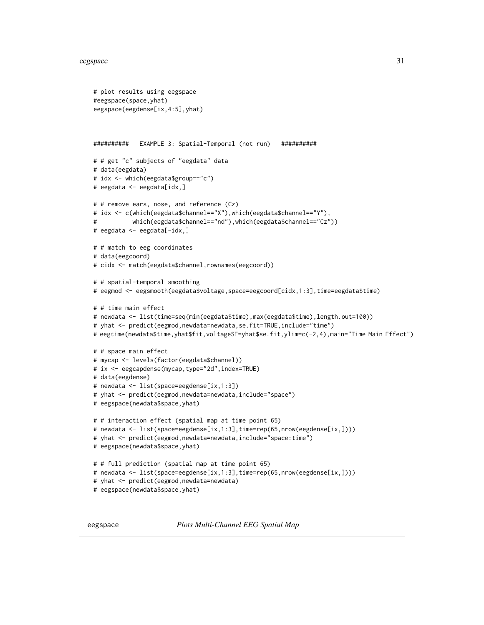```
# plot results using eegspace
#eegspace(space,yhat)
eegspace(eegdense[ix,4:5],yhat)
########## EXAMPLE 3: Spatial-Temporal (not run) ##########
# # get "c" subjects of "eegdata" data
# data(eegdata)
# idx <- which(eegdata$group=="c")
# eegdata <- eegdata[idx,]
# # remove ears, nose, and reference (Cz)
# idx <- c(which(eegdata$channel=="X"),which(eegdata$channel=="Y"),
# which(eegdata$channel=="nd"),which(eegdata$channel=="Cz"))
# eegdata <- eegdata[-idx,]
# # match to eeg coordinates
# data(eegcoord)
# cidx <- match(eegdata$channel,rownames(eegcoord))
# # spatial-temporal smoothing
# eegmod <- eegsmooth(eegdata$voltage,space=eegcoord[cidx,1:3],time=eegdata$time)
# # time main effect
# newdata <- list(time=seq(min(eegdata$time),max(eegdata$time),length.out=100))
# yhat <- predict(eegmod,newdata=newdata,se.fit=TRUE,include="time")
# eegtime(newdata$time,yhat$fit,voltageSE=yhat$se.fit,ylim=c(-2,4),main="Time Main Effect")
# # space main effect
# mycap <- levels(factor(eegdata$channel))
# ix <- eegcapdense(mycap,type="2d",index=TRUE)
# data(eegdense)
# newdata <- list(space=eegdense[ix,1:3])
# yhat <- predict(eegmod,newdata=newdata,include="space")
# eegspace(newdata$space,yhat)
# # interaction effect (spatial map at time point 65)
# newdata <- list(space=eegdense[ix,1:3],time=rep(65,nrow(eegdense[ix,])))
# yhat <- predict(eegmod, newdata=newdata, include="space: time")
# eegspace(newdata$space,yhat)
# # full prediction (spatial map at time point 65)
# newdata <- list(space=eegdense[ix,1:3],time=rep(65,nrow(eegdense[ix,])))
# yhat <- predict(eegmod,newdata=newdata)
# eegspace(newdata$space,yhat)
```
<span id="page-30-1"></span>eegspace *Plots Multi-Channel EEG Spatial Map*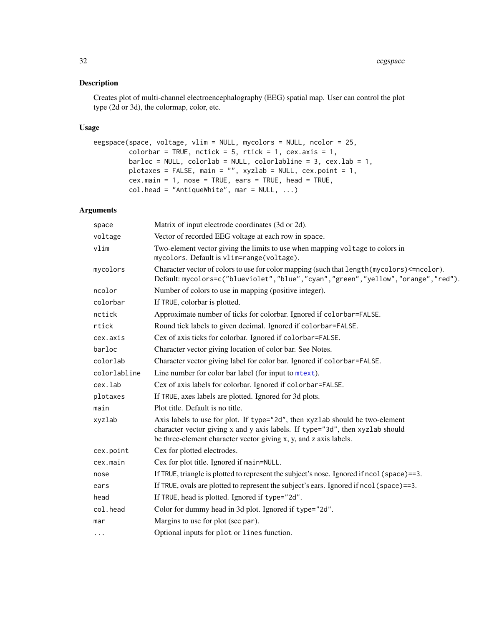# <span id="page-31-0"></span>Description

Creates plot of multi-channel electroencephalography (EEG) spatial map. User can control the plot type (2d or 3d), the colormap, color, etc.

# Usage

```
eegspace(space, voltage, vlim = NULL, mycolors = NULL, ncolor = 25,
        colorbar = TRUE, nctick = 5, rtick = 1, cex.axis = 1,
        barloc = NULL, colorlab = NULL, colorlab = 1,
        plotaxes = FALSE, main = "", xyzlab = NULL, cex.point = 1,
        cex.main = 1, nose = TRUE, ears = TRUE, head = TRUE,
        col.head = "AntiqueWhite", mar = NULL, ...)
```
# Arguments

| space        | Matrix of input electrode coordinates (3d or 2d).                                                                                                                                                                                  |
|--------------|------------------------------------------------------------------------------------------------------------------------------------------------------------------------------------------------------------------------------------|
| voltage      | Vector of recorded EEG voltage at each row in space.                                                                                                                                                                               |
| vlim         | Two-element vector giving the limits to use when mapping voltage to colors in<br>mycolors. Default is vlim=range(voltage).                                                                                                         |
| mycolors     | Character vector of colors to use for color mapping (such that length (mycolors) <= ncolor).<br>Default: mycolors=c("blueviolet", "blue", "cyan", "green", "yellow", "orange", "red").                                             |
| ncolor       | Number of colors to use in mapping (positive integer).                                                                                                                                                                             |
| colorbar     | If TRUE, colorbar is plotted.                                                                                                                                                                                                      |
| nctick       | Approximate number of ticks for colorbar. Ignored if colorbar=FALSE.                                                                                                                                                               |
| rtick        | Round tick labels to given decimal. Ignored if colorbar=FALSE.                                                                                                                                                                     |
| cex.axis     | Cex of axis ticks for colorbar. Ignored if colorbar=FALSE.                                                                                                                                                                         |
| barloc       | Character vector giving location of color bar. See Notes.                                                                                                                                                                          |
| colorlab     | Character vector giving label for color bar. Ignored if colorbar=FALSE.                                                                                                                                                            |
| colorlabline | Line number for color bar label (for input to mtext).                                                                                                                                                                              |
| cex.lab      | Cex of axis labels for colorbar. Ignored if colorbar=FALSE.                                                                                                                                                                        |
| plotaxes     | If TRUE, axes labels are plotted. Ignored for 3d plots.                                                                                                                                                                            |
| main         | Plot title. Default is no title.                                                                                                                                                                                                   |
| xyzlab       | Axis labels to use for plot. If type="2d", then xyzlab should be two-element<br>character vector giving x and y axis labels. If type="3d", then xyzlab should<br>be three-element character vector giving x, y, and z axis labels. |
| cex.point    | Cex for plotted electrodes.                                                                                                                                                                                                        |
| cex.main     | Cex for plot title. Ignored if main=NULL.                                                                                                                                                                                          |
| nose         | If TRUE, triangle is plotted to represent the subject's nose. Ignored if ncol (space)==3.                                                                                                                                          |
| ears         | If TRUE, ovals are plotted to represent the subject's ears. Ignored if ncol (space)==3.                                                                                                                                            |
| head         | If TRUE, head is plotted. Ignored if type="2d".                                                                                                                                                                                    |
| col.head     | Color for dummy head in 3d plot. Ignored if type="2d".                                                                                                                                                                             |
| mar          | Margins to use for plot (see par).                                                                                                                                                                                                 |
| $\cdots$     | Optional inputs for plot or lines function.                                                                                                                                                                                        |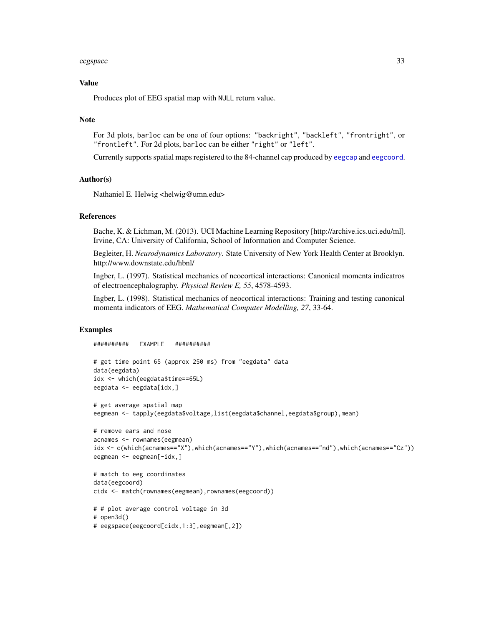#### <span id="page-32-0"></span>eegspace 33

#### Value

Produces plot of EEG spatial map with NULL return value.

#### Note

For 3d plots, barloc can be one of four options: "backright", "backleft", "frontright", or "frontleft". For 2d plots, barloc can be either "right" or "left".

Currently supports spatial maps registered to the 84-channel cap produced by [eegcap](#page-3-1) and [eegcoord](#page-10-1).

#### Author(s)

Nathaniel E. Helwig <helwig@umn.edu>

#### References

Bache, K. & Lichman, M. (2013). UCI Machine Learning Repository [http://archive.ics.uci.edu/ml]. Irvine, CA: University of California, School of Information and Computer Science.

Begleiter, H. *Neurodynamics Laboratory*. State University of New York Health Center at Brooklyn. http://www.downstate.edu/hbnl/

Ingber, L. (1997). Statistical mechanics of neocortical interactions: Canonical momenta indicatros of electroencephalography. *Physical Review E, 55*, 4578-4593.

Ingber, L. (1998). Statistical mechanics of neocortical interactions: Training and testing canonical momenta indicators of EEG. *Mathematical Computer Modelling, 27*, 33-64.

```
########## EXAMPLE ##########
# get time point 65 (approx 250 ms) from "eegdata" data
data(eegdata)
idx <- which(eegdata$time==65L)
eegdata <- eegdata[idx,]
# get average spatial map
eegmean <- tapply(eegdata$voltage,list(eegdata$channel,eegdata$group),mean)
# remove ears and nose
acnames <- rownames(eegmean)
idx <- c(which(acnames=="X"),which(acnames=="Y"),which(acnames=="nd"),which(acnames=="Cz"))
eegmean <- eegmean[-idx,]
# match to eeg coordinates
data(eegcoord)
cidx <- match(rownames(eegmean),rownames(eegcoord))
# # plot average control voltage in 3d
# open3d()
```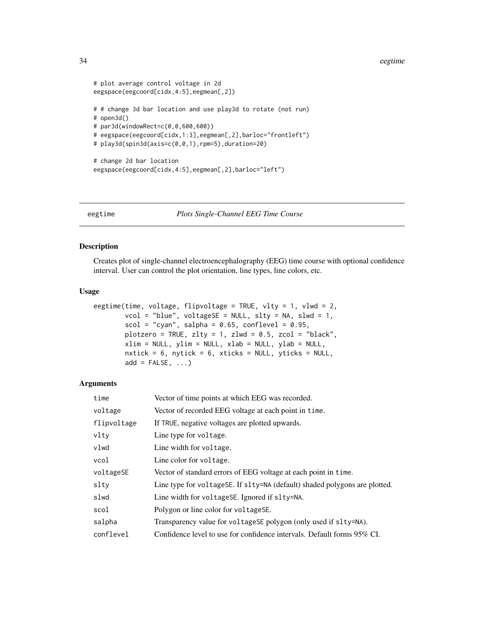#### <span id="page-33-0"></span>34 eegtime

```
# plot average control voltage in 2d
eegspace(eegcoord[cidx,4:5],eegmean[,2])
# # change 3d bar location and use play3d to rotate (not run)
# open3d()
# par3d(windowRect=c(0,0,600,600))
# eegspace(eegcoord[cidx,1:3],eegmean[,2],barloc="frontleft")
# play3d(spin3d(axis=c(0,0,1),rpm=5),duration=20)
# change 2d bar location
eegspace(eegcoord[cidx,4:5],eegmean[,2],barloc="left")
```
eegtime *Plots Single-Channel EEG Time Course*

# Description

Creates plot of single-channel electroencephalography (EEG) time course with optional confidence interval. User can control the plot orientation, line types, line colors, etc.

# Usage

```
eegtime(time, voltage, flipvoltage = TRUE, vlty = 1, vlwd = 2,
        vcol = "blue", voltageSE = NULL, slty = NA, slwd = 1,scal = "cyan", salpha = 0.65, conflevel = 0.95,plotzero = TRUE, zlty = 1, zlwd = 0.5, zcol = "black",
        xlim = NULL, ylim = NULL, xlab = NULL, ylab = NULL,nxtick = 6, nytick = 6, xticks = NULL, yticks = NULL,
        add = FALSE, \ldots)
```
#### Arguments

| time        | Vector of time points at which EEG was recorded.                           |
|-------------|----------------------------------------------------------------------------|
| voltage     | Vector of recorded EEG voltage at each point in time.                      |
| flipvoltage | If TRUE, negative voltages are plotted upwards.                            |
| vltv        | Line type for voltage.                                                     |
| vlwd        | Line width for voltage.                                                    |
| vcol        | Line color for voltage.                                                    |
| voltageSE   | Vector of standard errors of EEG voltage at each point in time.            |
| slty        | Line type for voltageSE. If slty=NA (default) shaded polygons are plotted. |
| slwd        | Line width for voltageSE. Ignored if slty=NA.                              |
| scol        | Polygon or line color for voltageSE.                                       |
| salpha      | Transparency value for voltageSE polygon (only used if slty=NA).           |
| conflevel   | Confidence level to use for confidence intervals. Default forms 95% CI.    |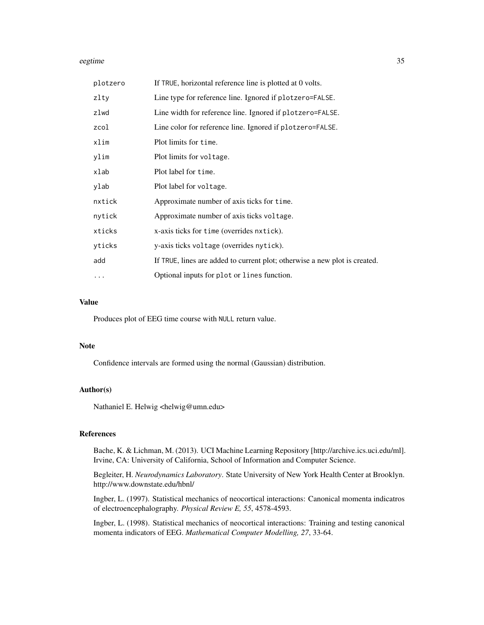#### eegtime 35

| plotzero | If TRUE, horizontal reference line is plotted at 0 volts.                  |
|----------|----------------------------------------------------------------------------|
| zlty     | Line type for reference line. Ignored if plotzero=FALSE.                   |
| zlwd     | Line width for reference line. Ignored if plotzero=FALSE.                  |
| zcol     | Line color for reference line. Ignored if plotzero=FALSE.                  |
| xlim     | Plot limits for time.                                                      |
| ylim     | Plot limits for voltage.                                                   |
| xlab     | Plot label for time.                                                       |
| ylab     | Plot label for voltage.                                                    |
| nxtick   | Approximate number of axis ticks for time.                                 |
| nytick   | Approximate number of axis ticks voltage.                                  |
| xticks   | x-axis ticks for time (overrides nxtick).                                  |
| yticks   | y-axis ticks voltage (overrides nytick).                                   |
| add      | If TRUE, lines are added to current plot; otherwise a new plot is created. |
| $\cdots$ | Optional inputs for plot or lines function.                                |

#### Value

Produces plot of EEG time course with NULL return value.

#### Note

Confidence intervals are formed using the normal (Gaussian) distribution.

# Author(s)

Nathaniel E. Helwig <helwig@umn.edu>

# References

Bache, K. & Lichman, M. (2013). UCI Machine Learning Repository [http://archive.ics.uci.edu/ml]. Irvine, CA: University of California, School of Information and Computer Science.

Begleiter, H. *Neurodynamics Laboratory*. State University of New York Health Center at Brooklyn. http://www.downstate.edu/hbnl/

Ingber, L. (1997). Statistical mechanics of neocortical interactions: Canonical momenta indicatros of electroencephalography. *Physical Review E, 55*, 4578-4593.

Ingber, L. (1998). Statistical mechanics of neocortical interactions: Training and testing canonical momenta indicators of EEG. *Mathematical Computer Modelling, 27*, 33-64.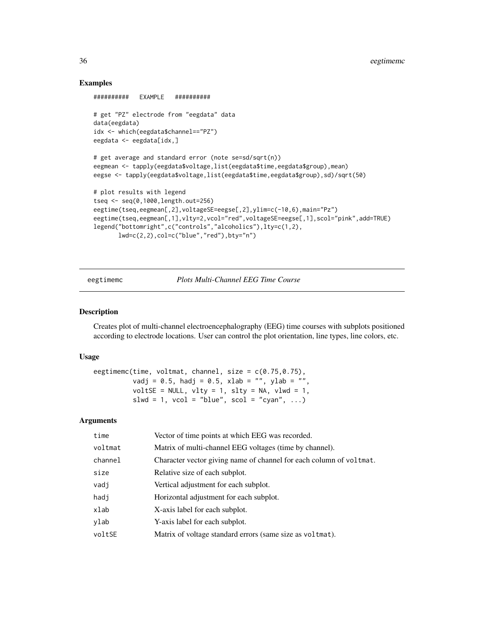### Examples

```
########## EXAMPLE ##########
# get "PZ" electrode from "eegdata" data
data(eegdata)
idx <- which(eegdata$channel=="PZ")
eegdata <- eegdata[idx,]
# get average and standard error (note se=sd/sqrt(n))
eegmean <- tapply(eegdata$voltage,list(eegdata$time,eegdata$group),mean)
eegse <- tapply(eegdata$voltage,list(eegdata$time,eegdata$group),sd)/sqrt(50)
# plot results with legend
tseq <- seq(0,1000,length.out=256)
eegtime(tseq,eegmean[,2],voltageSE=eegse[,2],ylim=c(-10,6),main="Pz")
eegtime(tseq,eegmean[,1],vlty=2,vcol="red",voltageSE=eegse[,1],scol="pink",add=TRUE)
legend("bottomright",c("controls","alcoholics"),lty=c(1,2),
      lwd=c(2,2),col=c("blue","red"),bty="n")
```
eegtimemc *Plots Multi-Channel EEG Time Course*

#### Description

Creates plot of multi-channel electroencephalography (EEG) time courses with subplots positioned according to electrode locations. User can control the plot orientation, line types, line colors, etc.

# Usage

eegtimemc(time, voltmat, channel, size = c(0.75,0.75), vadj = 0.5, hadj = 0.5, xlab = "", ylab = "", voltSE = NULL, vlty = 1, slty = NA, vlwd = 1, slwd = 1,  $vcol = "blue", scol = "cyan", ...$ 

### Arguments

| time    | Vector of time points at which EEG was recorded.                    |
|---------|---------------------------------------------------------------------|
| voltmat | Matrix of multi-channel EEG voltages (time by channel).             |
| channel | Character vector giving name of channel for each column of voltmat. |
| size    | Relative size of each subplot.                                      |
| vadj    | Vertical adjustment for each subplot.                               |
| hadj    | Horizontal adjustment for each subplot.                             |
| xlab    | X-axis label for each subplot.                                      |
| ylab    | Y-axis label for each subplot.                                      |
| voltSE  | Matrix of voltage standard errors (same size as voltmat).           |
|         |                                                                     |

<span id="page-35-0"></span>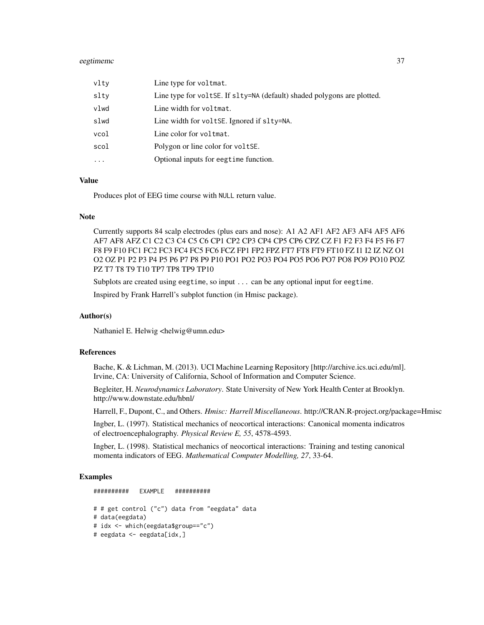#### eegtimemc 37

| vlty      | Line type for voltmat.                                                  |
|-----------|-------------------------------------------------------------------------|
| slty      | Line type for voltse. If slty=NA (default) shaded polygons are plotted. |
| vlwd      | Line width for voltmat.                                                 |
| slwd      | Line width for voltse. Ignored if slty=NA.                              |
| vcol      | Line color for voltmat.                                                 |
| scol      | Polygon or line color for voltse.                                       |
| $\ddotsc$ | Optional inputs for eegtime function.                                   |

### Value

Produces plot of EEG time course with NULL return value.

#### **Note**

Currently supports 84 scalp electrodes (plus ears and nose): A1 A2 AF1 AF2 AF3 AF4 AF5 AF6 AF7 AF8 AFZ C1 C2 C3 C4 C5 C6 CP1 CP2 CP3 CP4 CP5 CP6 CPZ CZ F1 F2 F3 F4 F5 F6 F7 F8 F9 F10 FC1 FC2 FC3 FC4 FC5 FC6 FCZ FP1 FP2 FPZ FT7 FT8 FT9 FT10 FZ I1 I2 IZ NZ O1 O2 OZ P1 P2 P3 P4 P5 P6 P7 P8 P9 P10 PO1 PO2 PO3 PO4 PO5 PO6 PO7 PO8 PO9 PO10 POZ PZ T7 T8 T9 T10 TP7 TP8 TP9 TP10

Subplots are created using eegtime, so input ... can be any optional input for eegtime.

Inspired by Frank Harrell's subplot function (in Hmisc package).

#### Author(s)

Nathaniel E. Helwig <helwig@umn.edu>

### References

Bache, K. & Lichman, M. (2013). UCI Machine Learning Repository [http://archive.ics.uci.edu/ml]. Irvine, CA: University of California, School of Information and Computer Science.

Begleiter, H. *Neurodynamics Laboratory*. State University of New York Health Center at Brooklyn. http://www.downstate.edu/hbnl/

Harrell, F., Dupont, C., and Others. *Hmisc: Harrell Miscellaneous*. http://CRAN.R-project.org/package=Hmisc

Ingber, L. (1997). Statistical mechanics of neocortical interactions: Canonical momenta indicatros of electroencephalography. *Physical Review E, 55*, 4578-4593.

Ingber, L. (1998). Statistical mechanics of neocortical interactions: Training and testing canonical momenta indicators of EEG. *Mathematical Computer Modelling, 27*, 33-64.

#### Examples

# # get control ("c") data from "eegdata" data # data(eegdata) # idx <- which(eegdata\$group=="c") # eegdata <- eegdata[idx,]

########## EXAMPLE ##########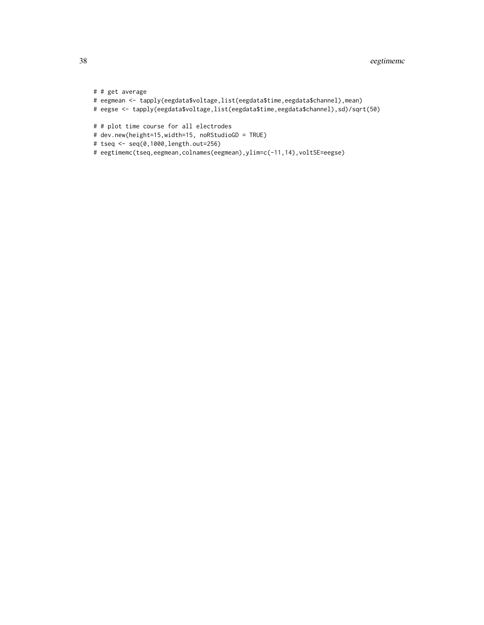```
# # get average
# eegmean <- tapply(eegdata$voltage,list(eegdata$time,eegdata$channel),mean)
# eegse <- tapply(eegdata$voltage,list(eegdata$time,eegdata$channel),sd)/sqrt(50)
# # plot time course for all electrodes
# dev.new(height=15,width=15, noRStudioGD = TRUE)
# tseq <- seq(0,1000,length.out=256)
# eegtimemc(tseq,eegmean,colnames(eegmean),ylim=c(-11,14),voltSE=eegse)
```